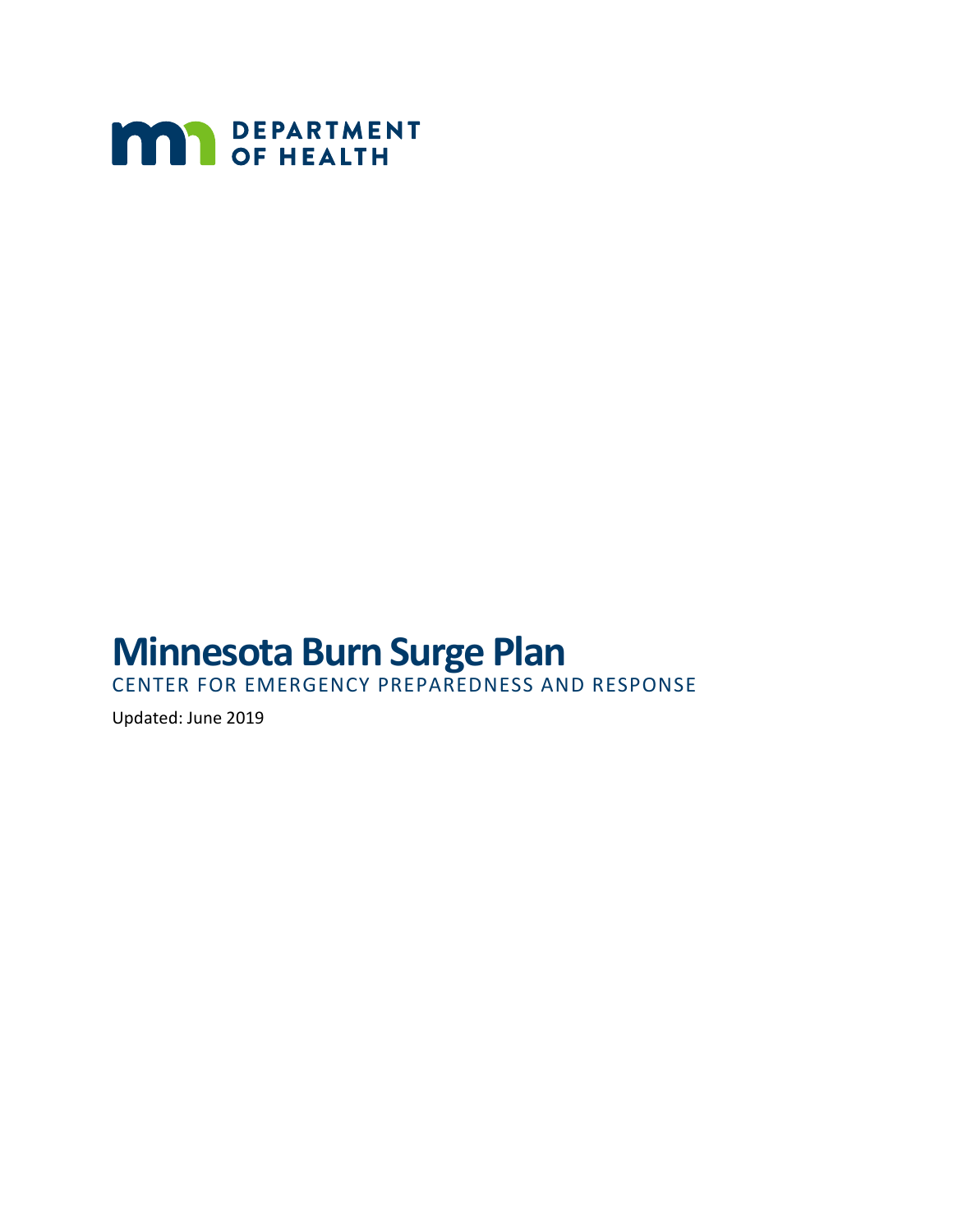

# **Minnesota Burn Surge Plan**

CENTER FOR EMERGENCY PREPAREDNESS AND RESPONSE

Updated: June 2019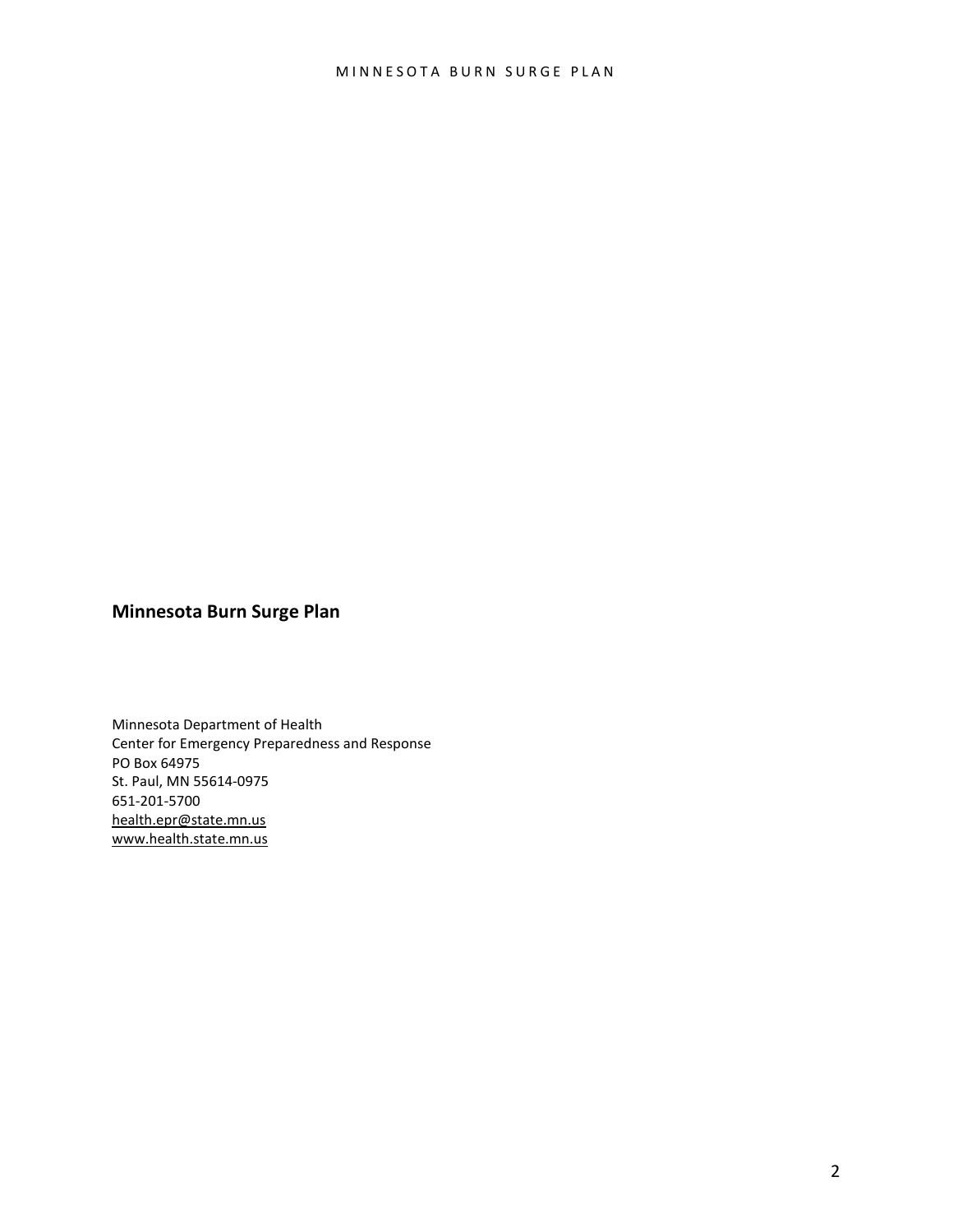#### **Minnesota Burn Surge Plan**

Minnesota Department of Health Center for Emergency Preparedness and Response PO Box 64975 St. Paul, MN 55614-0975 651-201-5700 [health.epr@state.mn.us](mailto:health.epr@state.mn.us) [www.health.state.mn.us](http://www.health.state.mn.us/)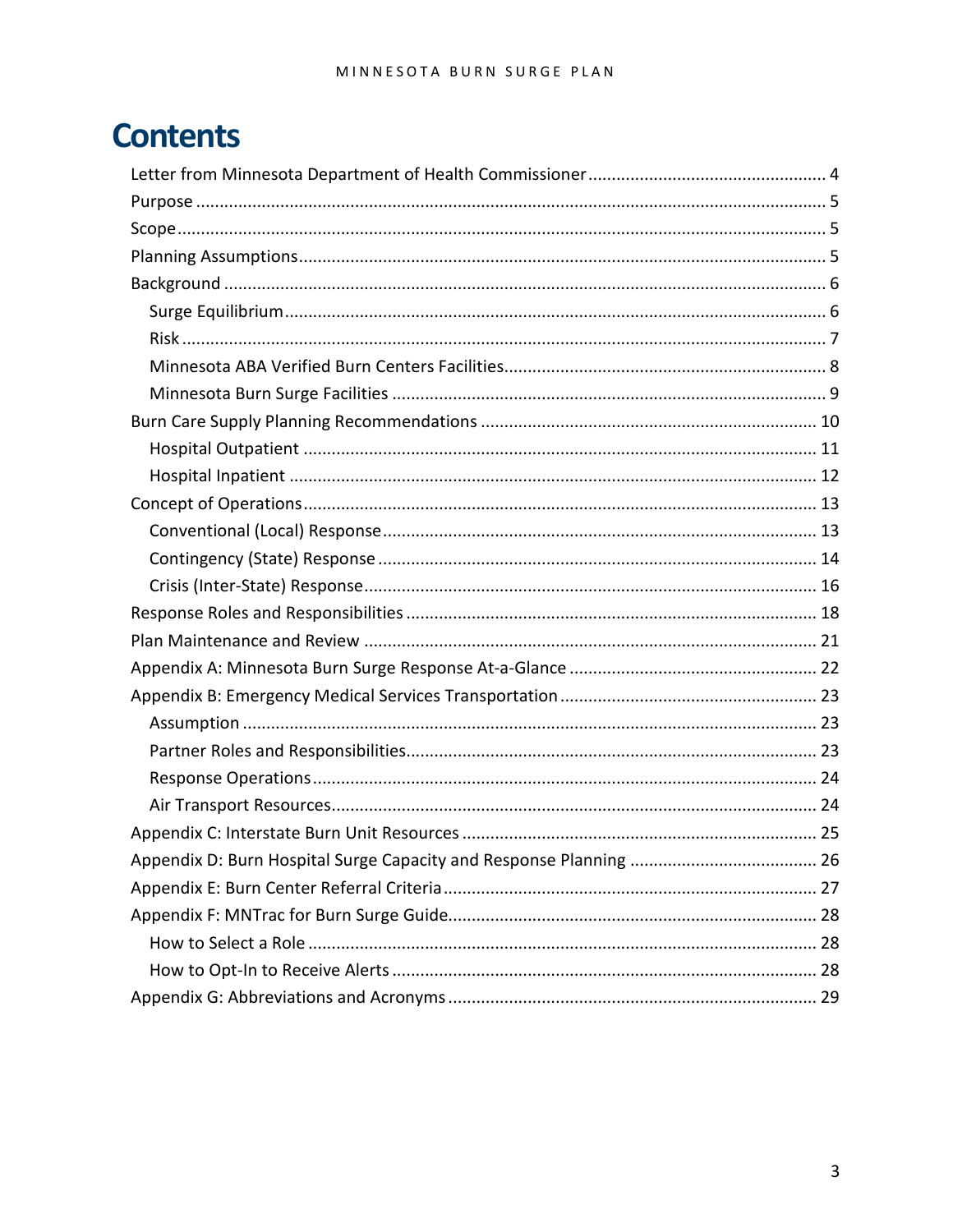# **Contents**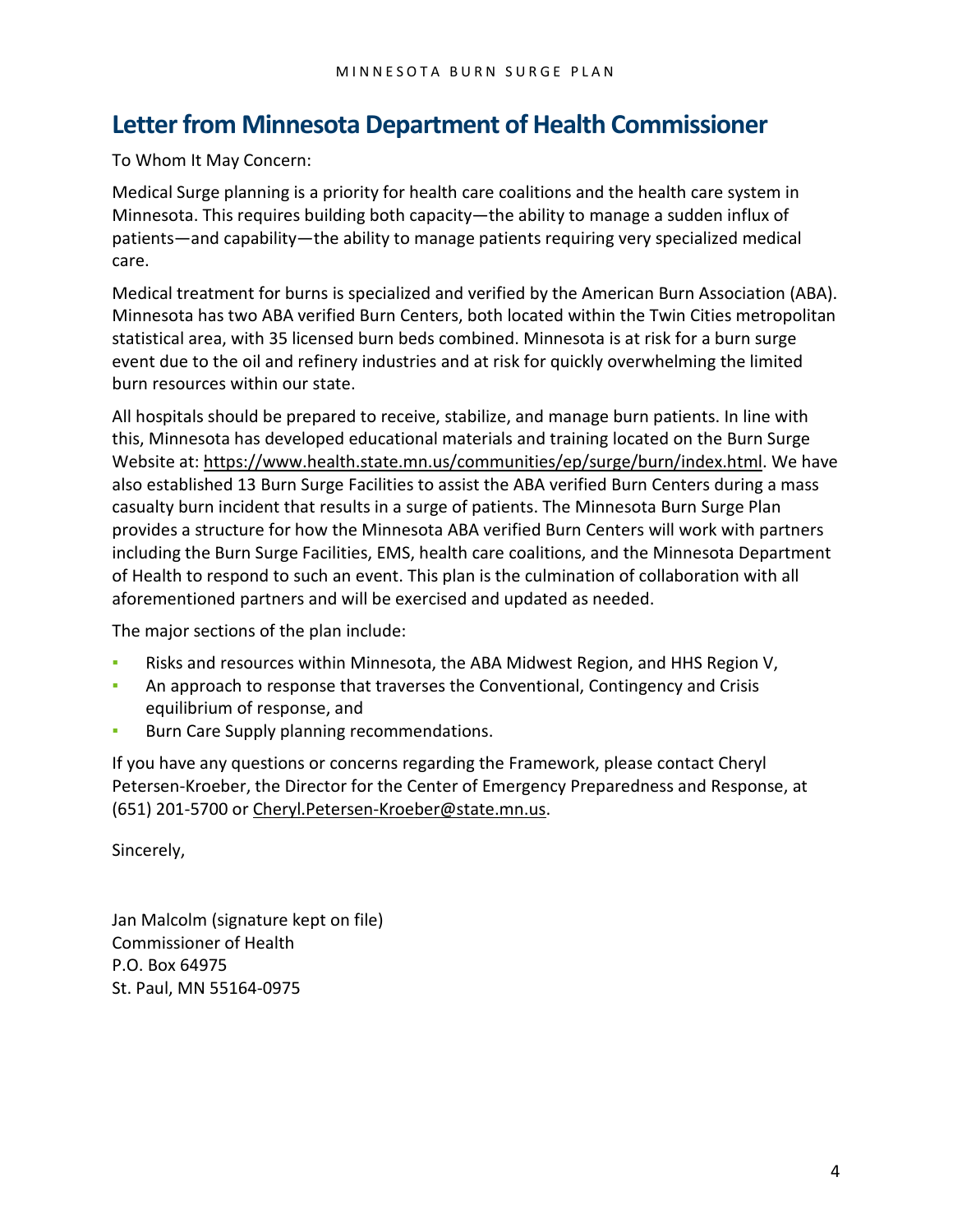### <span id="page-3-0"></span>**Letter from Minnesota Department of Health Commissioner**

To Whom It May Concern:

Medical Surge planning is a priority for health care coalitions and the health care system in Minnesota. This requires building both capacity—the ability to manage a sudden influx of patients—and capability—the ability to manage patients requiring very specialized medical care.

Medical treatment for burns is specialized and verified by the American Burn Association (ABA). Minnesota has two ABA verified Burn Centers, both located within the Twin Cities metropolitan statistical area, with 35 licensed burn beds combined. Minnesota is at risk for a burn surge event due to the oil and refinery industries and at risk for quickly overwhelming the limited burn resources within our state.

All hospitals should be prepared to receive, stabilize, and manage burn patients. In line with this, Minnesota has developed educational materials and training located on the Burn Surge Website at: [https://www.health.state.mn.us/communities/ep/surge/burn/index.html.](https://www.health.state.mn.us/communities/ep/surge/burn/index.html) We have also established 13 Burn Surge Facilities to assist the ABA verified Burn Centers during a mass casualty burn incident that results in a surge of patients. The Minnesota Burn Surge Plan provides a structure for how the Minnesota ABA verified Burn Centers will work with partners including the Burn Surge Facilities, EMS, health care coalitions, and the Minnesota Department of Health to respond to such an event. This plan is the culmination of collaboration with all aforementioned partners and will be exercised and updated as needed.

The major sections of the plan include:

- Risks and resources within Minnesota, the ABA Midwest Region, and HHS Region V,
- **An approach to response that traverses the Conventional, Contingency and Crisis** equilibrium of response, and
- Burn Care Supply planning recommendations.

If you have any questions or concerns regarding the Framework, please contact Cheryl Petersen-Kroeber, the Director for the Center of Emergency Preparedness and Response, at (651) 201-5700 or [Cheryl.Petersen-Kroeber@state.mn.us.](mailto:Cheryl.Petersen-Kroeber@state.mn.us)

Sincerely,

Jan Malcolm (signature kept on file) Commissioner of Health P.O. Box 64975 St. Paul, MN 55164-0975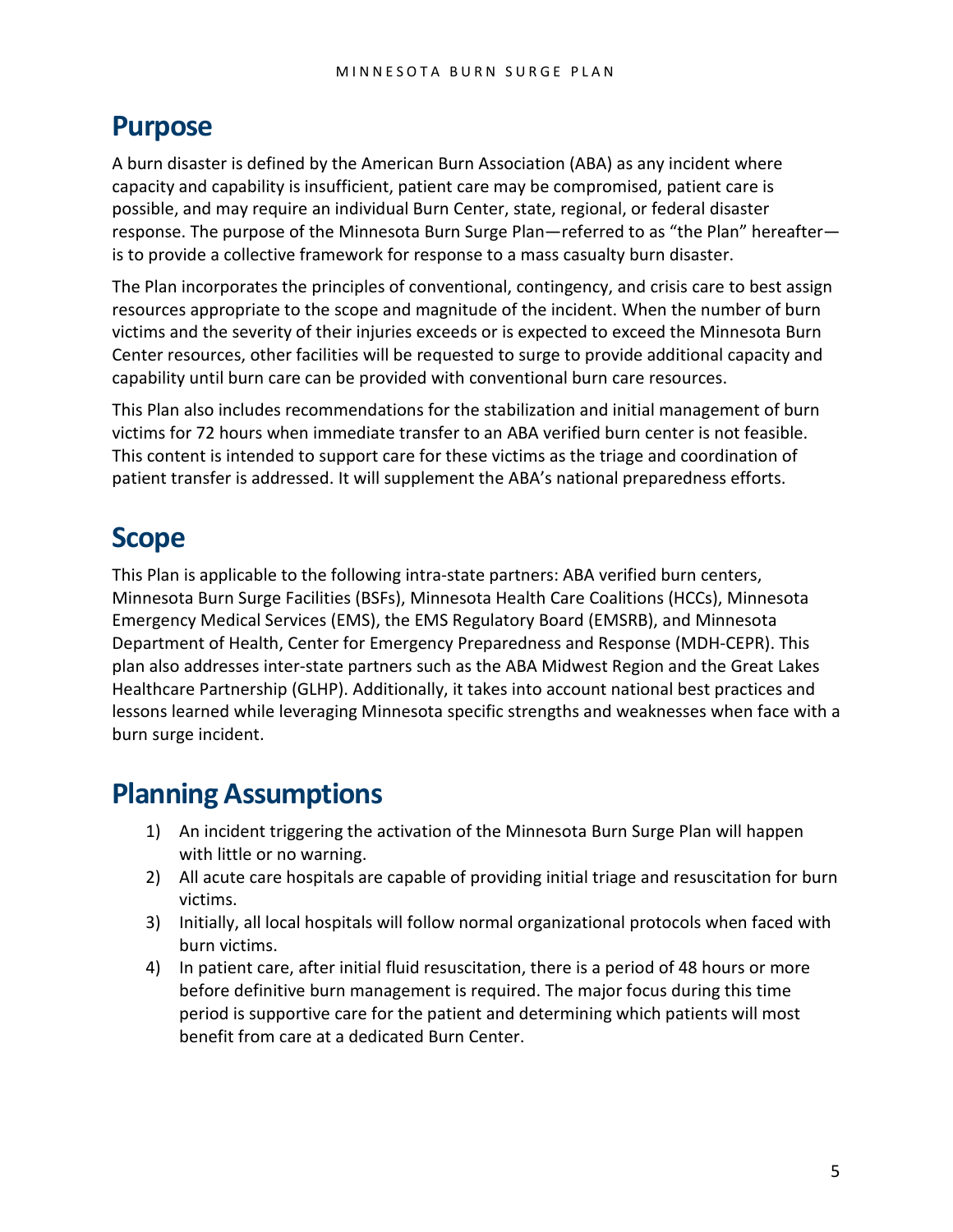### <span id="page-4-0"></span>**Purpose**

A burn disaster is defined by the American Burn Association (ABA) as any incident where capacity and capability is insufficient, patient care may be compromised, patient care is possible, and may require an individual Burn Center, state, regional, or federal disaster response. The purpose of the Minnesota Burn Surge Plan—referred to as "the Plan" hereafter is to provide a collective framework for response to a mass casualty burn disaster.

The Plan incorporates the principles of conventional, contingency, and crisis care to best assign resources appropriate to the scope and magnitude of the incident. When the number of burn victims and the severity of their injuries exceeds or is expected to exceed the Minnesota Burn Center resources, other facilities will be requested to surge to provide additional capacity and capability until burn care can be provided with conventional burn care resources.

This Plan also includes recommendations for the stabilization and initial management of burn victims for 72 hours when immediate transfer to an ABA verified burn center is not feasible. This content is intended to support care for these victims as the triage and coordination of patient transfer is addressed. It will supplement the ABA's national preparedness efforts.

## <span id="page-4-1"></span>**Scope**

This Plan is applicable to the following intra-state partners: ABA verified burn centers, Minnesota Burn Surge Facilities (BSFs), Minnesota Health Care Coalitions (HCCs), Minnesota Emergency Medical Services (EMS), the EMS Regulatory Board (EMSRB), and Minnesota Department of Health, Center for Emergency Preparedness and Response (MDH-CEPR). This plan also addresses inter-state partners such as the ABA Midwest Region and the Great Lakes Healthcare Partnership (GLHP). Additionally, it takes into account national best practices and lessons learned while leveraging Minnesota specific strengths and weaknesses when face with a burn surge incident.

## <span id="page-4-2"></span>**Planning Assumptions**

- 1) An incident triggering the activation of the Minnesota Burn Surge Plan will happen with little or no warning.
- 2) All acute care hospitals are capable of providing initial triage and resuscitation for burn victims.
- 3) Initially, all local hospitals will follow normal organizational protocols when faced with burn victims.
- 4) In patient care, after initial fluid resuscitation, there is a period of 48 hours or more before definitive burn management is required. The major focus during this time period is supportive care for the patient and determining which patients will most benefit from care at a dedicated Burn Center.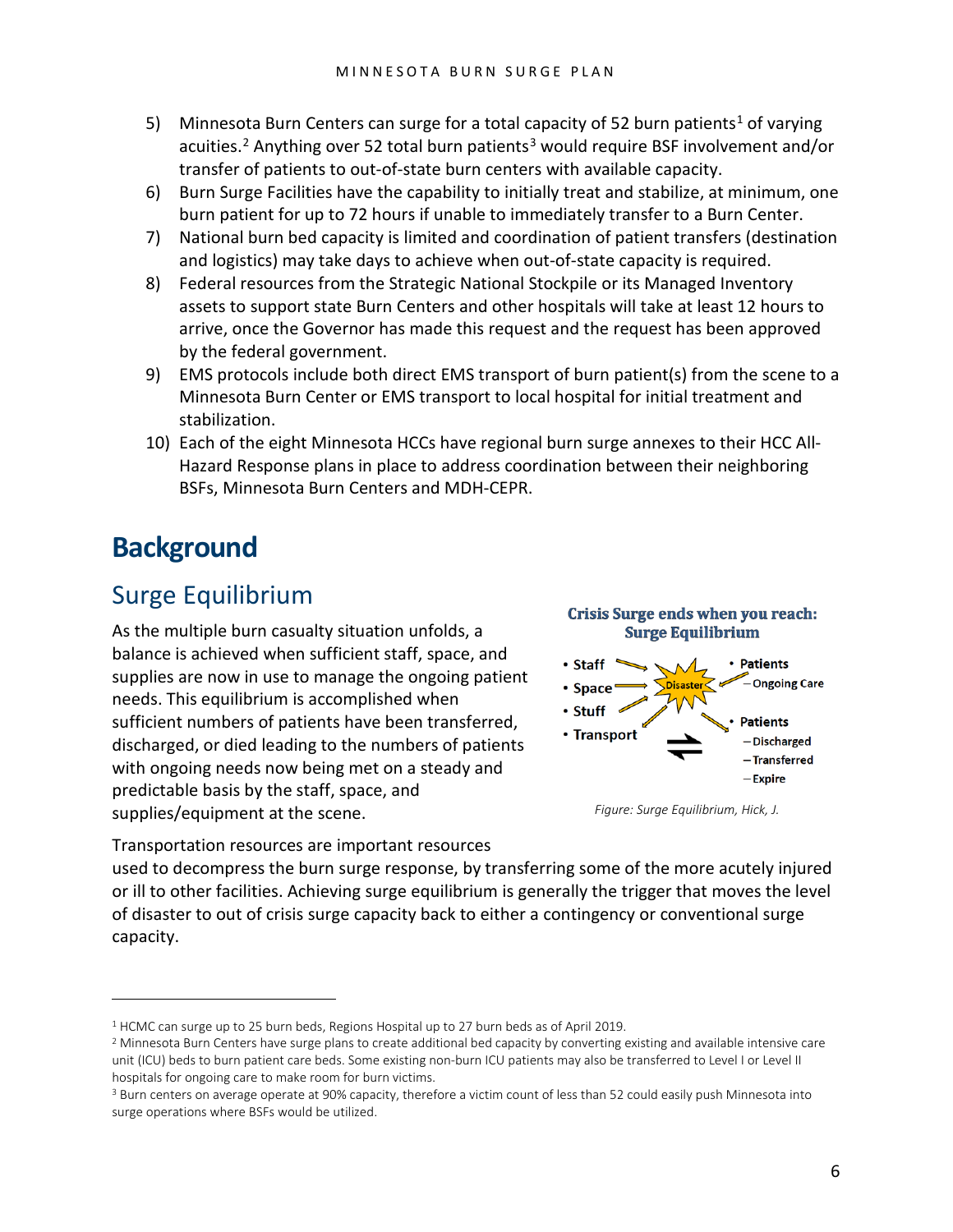- 5) Minnesota Burn Centers can surge for a total capacity of 52 burn patients<sup>[1](#page-5-2)</sup> of varying acuities.<sup>[2](#page-5-3)</sup> Anything over 52 total burn patients<sup>[3](#page-5-4)</sup> would require BSF involvement and/or transfer of patients to out-of-state burn centers with available capacity.
- 6) Burn Surge Facilities have the capability to initially treat and stabilize, at minimum, one burn patient for up to 72 hours if unable to immediately transfer to a Burn Center.
- 7) National burn bed capacity is limited and coordination of patient transfers (destination and logistics) may take days to achieve when out-of-state capacity is required.
- 8) Federal resources from the Strategic National Stockpile or its Managed Inventory assets to support state Burn Centers and other hospitals will take at least 12 hours to arrive, once the Governor has made this request and the request has been approved by the federal government.
- 9) EMS protocols include both direct EMS transport of burn patient(s) from the scene to a Minnesota Burn Center or EMS transport to local hospital for initial treatment and stabilization.
- 10) Each of the eight Minnesota HCCs have regional burn surge annexes to their HCC All-Hazard Response plans in place to address coordination between their neighboring BSFs, Minnesota Burn Centers and MDH-CEPR.

## <span id="page-5-0"></span>**Background**

 $\overline{a}$ 

### <span id="page-5-1"></span>Surge Equilibrium

As the multiple burn casualty situation unfolds, a balance is achieved when sufficient staff, space, and supplies are now in use to manage the ongoing patient needs. This equilibrium is accomplished when sufficient numbers of patients have been transferred, discharged, or died leading to the numbers of patients with ongoing needs now being met on a steady and predictable basis by the staff, space, and supplies/equipment at the scene.



*Figure: Surge Equilibrium, Hick, J.*

Transportation resources are important resources

used to decompress the burn surge response, by transferring some of the more acutely injured or ill to other facilities. Achieving surge equilibrium is generally the trigger that moves the level of disaster to out of crisis surge capacity back to either a contingency or conventional surge capacity.

<span id="page-5-2"></span> $1$  HCMC can surge up to 25 burn beds, Regions Hospital up to 27 burn beds as of April 2019.

<span id="page-5-3"></span><sup>2</sup> Minnesota Burn Centers have surge plans to create additional bed capacity by converting existing and available intensive care unit (ICU) beds to burn patient care beds. Some existing non-burn ICU patients may also be transferred to Level I or Level II hospitals for ongoing care to make room for burn victims.

<span id="page-5-4"></span><sup>&</sup>lt;sup>3</sup> Burn centers on average operate at 90% capacity, therefore a victim count of less than 52 could easily push Minnesota into surge operations where BSFs would be utilized.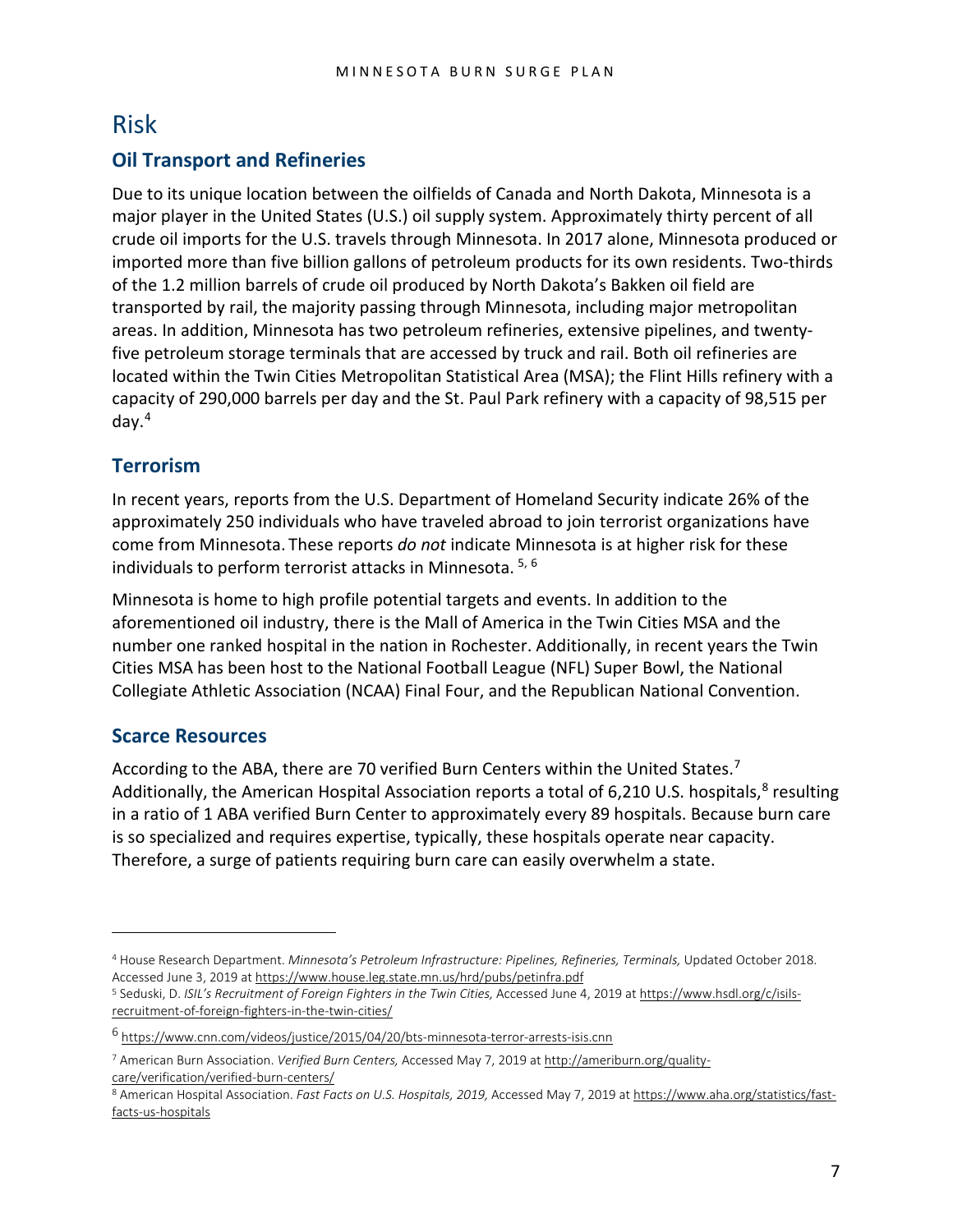#### <span id="page-6-0"></span>Risk

#### **Oil Transport and Refineries**

Due to its unique location between the oilfields of Canada and North Dakota, Minnesota is a major player in the United States (U.S.) oil supply system. Approximately thirty percent of all crude oil imports for the U.S. travels through Minnesota. In 2017 alone, Minnesota produced or imported more than five billion gallons of petroleum products for its own residents. Two-thirds of the 1.2 million barrels of crude oil produced by North Dakota's Bakken oil field are transported by rail, the majority passing through Minnesota, including major metropolitan areas. In addition, Minnesota has two petroleum refineries, extensive pipelines, and twentyfive petroleum storage terminals that are accessed by truck and rail. Both oil refineries are located within the Twin Cities Metropolitan Statistical Area (MSA); the Flint Hills refinery with a capacity of 290,000 barrels per day and the St. Paul Park refinery with a capacity of 98,515 per day.[4](#page-6-1)

#### **Terrorism**

In recent years, reports from the U.S. Department of Homeland Security indicate 26% of the approximately 250 individuals who have traveled abroad to join terrorist organizations have come from Minnesota. These reports *do not* indicate Minnesota is at higher risk for these individuals to perform terrorist attacks in Minnesota. [5,](#page-6-2) [6](#page-6-3)

Minnesota is home to high profile potential targets and events. In addition to the aforementioned oil industry, there is the Mall of America in the Twin Cities MSA and the number one ranked hospital in the nation in Rochester. Additionally, in recent years the Twin Cities MSA has been host to the National Football League (NFL) Super Bowl, the National Collegiate Athletic Association (NCAA) Final Four, and the Republican National Convention.

#### **Scarce Resources**

 $\overline{a}$ 

According to the ABA, there are [7](#page-6-4)0 verified Burn Centers within the United States.<sup>7</sup> Additionally, the American Hospital Association reports a total of 6,210 U.S. hospitals,<sup>[8](#page-6-5)</sup> resulting in a ratio of 1 ABA verified Burn Center to approximately every 89 hospitals. Because burn care is so specialized and requires expertise, typically, these hospitals operate near capacity. Therefore, a surge of patients requiring burn care can easily overwhelm a state.

<span id="page-6-1"></span><sup>4</sup> House Research Department. *Minnesota's Petroleum Infrastructure: Pipelines, Refineries, Terminals,* Updated October 2018. Accessed June 3, 2019 a[t https://www.house.leg.state.mn.us/hrd/pubs/petinfra.pdf](https://www.house.leg.state.mn.us/hrd/pubs/petinfra.pdf)

<span id="page-6-2"></span><sup>5</sup> Seduski, D. *ISIL's Recruitment of Foreign Fighters in the Twin Cities,* Accessed June 4, 2019 a[t https://www.hsdl.org/c/isils](https://www.hsdl.org/c/isils-recruitment-of-foreign-fighters-in-the-twin-cities/)[recruitment-of-foreign-fighters-in-the-twin-cities/](https://www.hsdl.org/c/isils-recruitment-of-foreign-fighters-in-the-twin-cities/)

<span id="page-6-3"></span><sup>6</sup> <https://www.cnn.com/videos/justice/2015/04/20/bts-minnesota-terror-arrests-isis.cnn>

<span id="page-6-4"></span><sup>7</sup> American Burn Association. *Verified Burn Centers,* Accessed May 7, 2019 at [http://ameriburn.org/quality](http://ameriburn.org/quality-care/verification/verified-burn-centers/)[care/verification/verified-burn-centers/](http://ameriburn.org/quality-care/verification/verified-burn-centers/)

<span id="page-6-5"></span><sup>8</sup> American Hospital Association. Fast Facts on U.S. Hospitals, 2019, Accessed May 7, 2019 at [https://www.aha.org/statistics/fast](https://www.aha.org/statistics/fast-facts-us-hospitals)[facts-us-hospitals](https://www.aha.org/statistics/fast-facts-us-hospitals)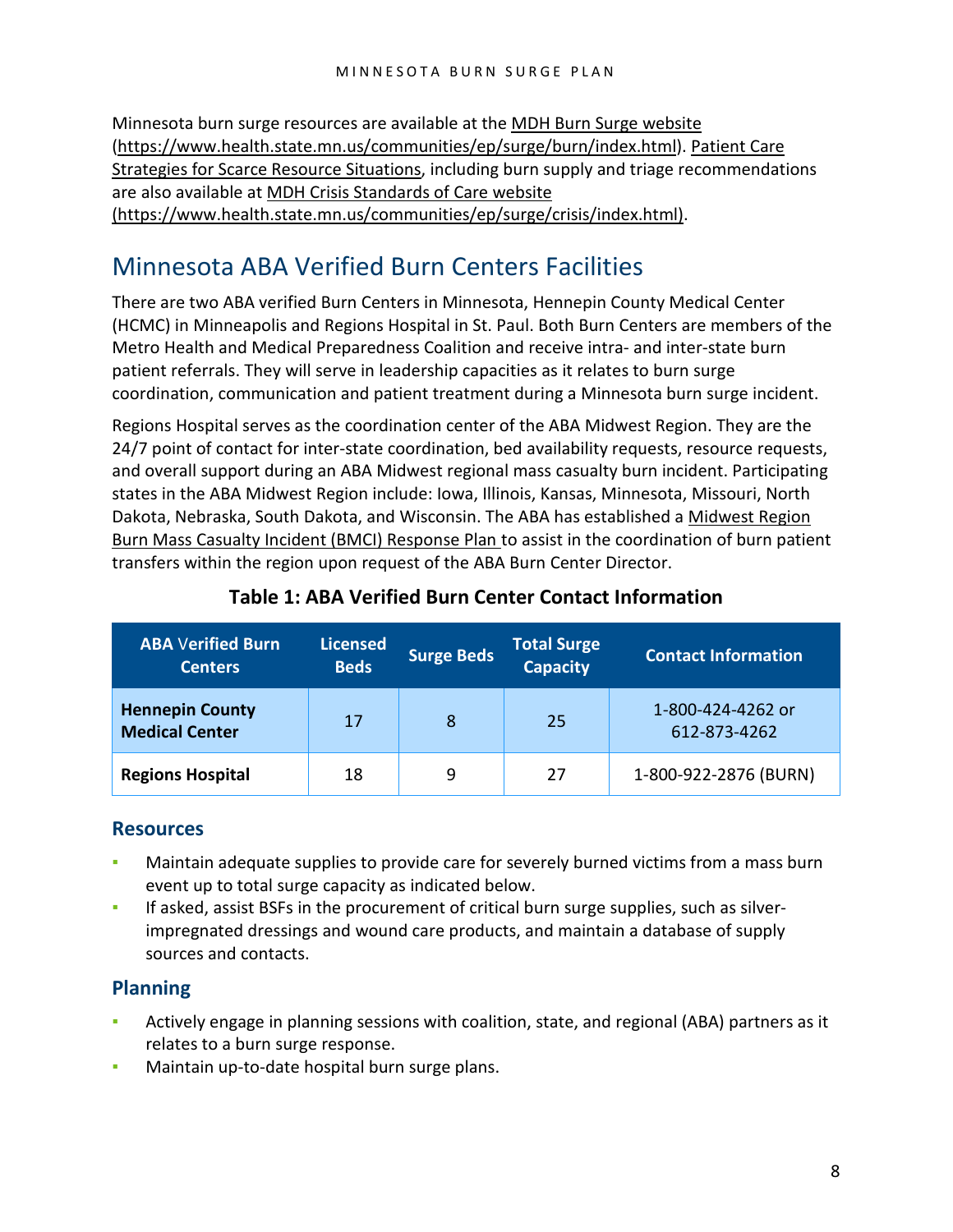Minnesota burn surge resources are available at the [MDH Burn Surge website](https://www.health.state.mn.us/communities/ep/surge/burn/index.html) [\(https://www.health.state.mn.us/communities/ep/surge/burn/index.html\)](https://www.health.state.mn.us/communities/ep/surge/burn/index.html). [Patient Care](https://www.health.state.mn.us/communities/ep/surge/crisis/standards.pdf)  [Strategies for Scarce Resource Situations,](https://www.health.state.mn.us/communities/ep/surge/crisis/standards.pdf) including burn supply and triage recommendations are also available at [MDH Crisis Standards of Care website](https://www.health.state.mn.us/communities/ep/surge/crisis/index.html)  [\(https://www.health.state.mn.us/communities/ep/surge/crisis/index.html\).](https://www.health.state.mn.us/communities/ep/surge/crisis/index.html)

### <span id="page-7-0"></span>Minnesota ABA Verified Burn Centers Facilities

There are two ABA verified Burn Centers in Minnesota, Hennepin County Medical Center (HCMC) in Minneapolis and Regions Hospital in St. Paul. Both Burn Centers are members of the Metro Health and Medical Preparedness Coalition and receive intra- and inter-state burn patient referrals. They will serve in leadership capacities as it relates to burn surge coordination, communication and patient treatment during a Minnesota burn surge incident.

Regions Hospital serves as the coordination center of the ABA Midwest Region. They are the 24/7 point of contact for inter-state coordination, bed availability requests, resource requests, and overall support during an ABA Midwest regional mass casualty burn incident. Participating states in the ABA Midwest Region include: Iowa, Illinois, Kansas, Minnesota, Missouri, North Dakota, Nebraska, South Dakota, and Wisconsin. The ABA has established a [Midwest Region](https://c.ymcdn.com/sites/ameriburn.site-ym.com/resource/collection/C66B12D1-C4B9-466F-9EFC-A3050F4FB151/midwest_region_bmci_response.pdf)  [Burn Mass Casualty Incident \(BMCI\) Response Plan](https://c.ymcdn.com/sites/ameriburn.site-ym.com/resource/collection/C66B12D1-C4B9-466F-9EFC-A3050F4FB151/midwest_region_bmci_response.pdf) to assist in the coordination of burn patient transfers within the region upon request of the ABA Burn Center Director.

| <b>ABA Verified Burn</b><br><b>Centers</b>      | <b>Licensed</b><br><b>Beds</b> | <b>Surge Beds</b> | <b>Total Surge</b><br><b>Capacity</b> | <b>Contact Information</b>        |
|-------------------------------------------------|--------------------------------|-------------------|---------------------------------------|-----------------------------------|
| <b>Hennepin County</b><br><b>Medical Center</b> | 17                             | 8                 | 25                                    | 1-800-424-4262 or<br>612-873-4262 |
| <b>Regions Hospital</b>                         | 18                             | 9                 | 27                                    | 1-800-922-2876 (BURN)             |

#### **Table 1: ABA Verified Burn Center Contact Information**

#### **Resources**

- Maintain adequate supplies to provide care for severely burned victims from a mass burn event up to total surge capacity as indicated below.
- If asked, assist BSFs in the procurement of critical burn surge supplies, such as silverimpregnated dressings and wound care products, and maintain a database of supply sources and contacts.

#### **Planning**

- Actively engage in planning sessions with coalition, state, and regional (ABA) partners as it relates to a burn surge response.
- Maintain up-to-date hospital burn surge plans.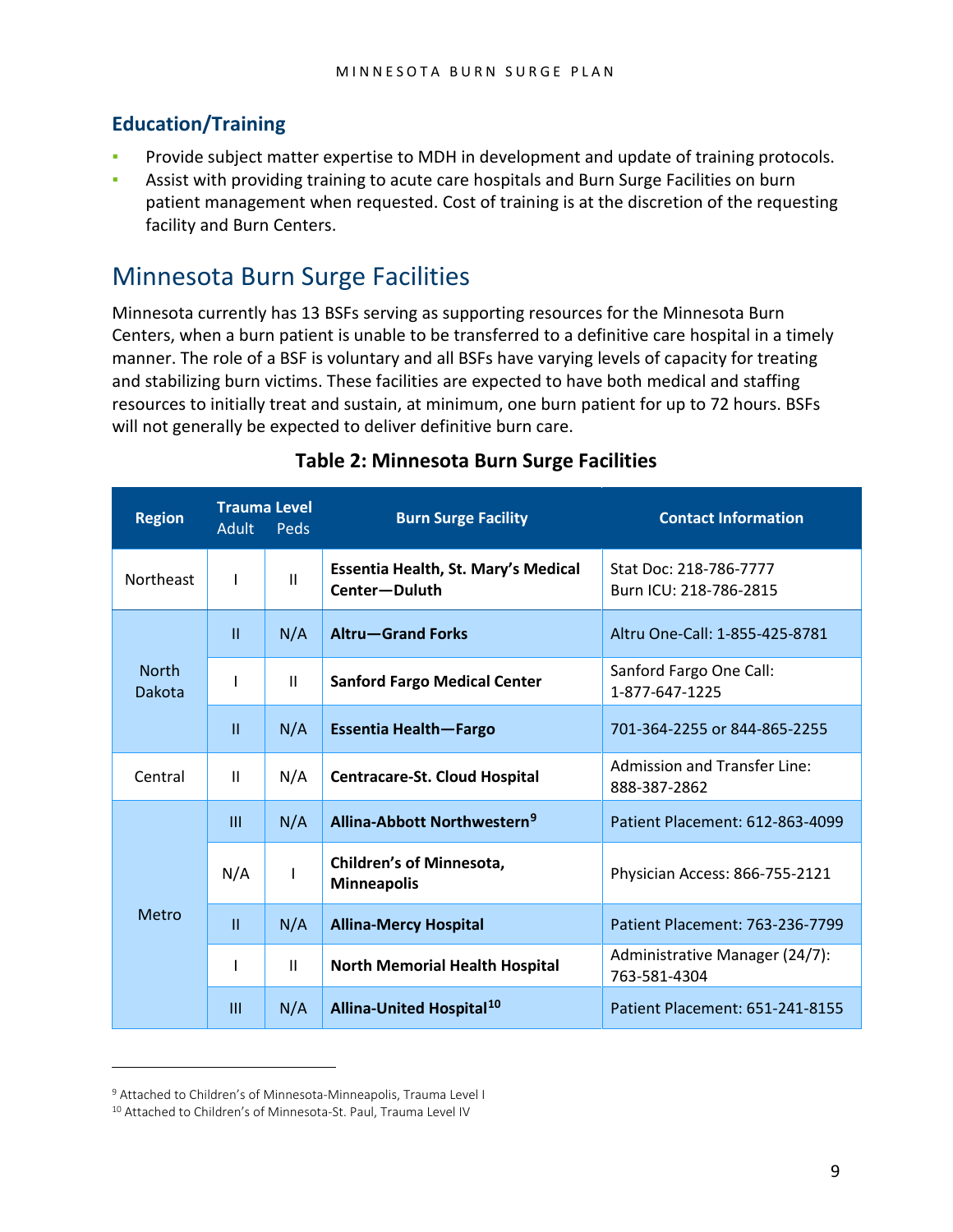#### **Education/Training**

- Provide subject matter expertise to MDH in development and update of training protocols.
- Assist with providing training to acute care hospitals and Burn Surge Facilities on burn patient management when requested. Cost of training is at the discretion of the requesting facility and Burn Centers.

### <span id="page-8-0"></span>Minnesota Burn Surge Facilities

Minnesota currently has 13 BSFs serving as supporting resources for the Minnesota Burn Centers, when a burn patient is unable to be transferred to a definitive care hospital in a timely manner. The role of a BSF is voluntary and all BSFs have varying levels of capacity for treating and stabilizing burn victims. These facilities are expected to have both medical and staffing resources to initially treat and sustain, at minimum, one burn patient for up to 72 hours. BSFs will not generally be expected to deliver definitive burn care.

| <b>Region</b>          | <b>Adult</b>                                                      | <b>Trauma Level</b><br>Peds | <b>Burn Surge Facility</b>                           | <b>Contact Information</b>                          |  |  |
|------------------------|-------------------------------------------------------------------|-----------------------------|------------------------------------------------------|-----------------------------------------------------|--|--|
| Northeast              | ı                                                                 | $\mathbf{H}$                | Essentia Health, St. Mary's Medical<br>Center-Duluth | Stat Doc: 218-786-7777<br>Burn ICU: 218-786-2815    |  |  |
|                        | $\mathbf{H}$                                                      | N/A                         | <b>Altru-Grand Forks</b>                             | Altru One-Call: 1-855-425-8781                      |  |  |
| <b>North</b><br>Dakota |                                                                   | $\mathbf{H}$                | <b>Sanford Fargo Medical Center</b>                  | Sanford Fargo One Call:<br>1-877-647-1225           |  |  |
|                        | $\mathbf{H}$                                                      | N/A                         | Essentia Health-Fargo                                | 701-364-2255 or 844-865-2255                        |  |  |
| Central                | $\mathbf{H}$                                                      | N/A                         | <b>Centracare-St. Cloud Hospital</b>                 | <b>Admission and Transfer Line:</b><br>888-387-2862 |  |  |
|                        | Ш                                                                 | N/A                         | Allina-Abbott Northwestern <sup>9</sup>              | Patient Placement: 612-863-4099                     |  |  |
|                        | <b>Children's of Minnesota,</b><br>N/A<br>L<br><b>Minneapolis</b> |                             | Physician Access: 866-755-2121                       |                                                     |  |  |
| Metro                  | $\mathbf{H}$                                                      | N/A                         | <b>Allina-Mercy Hospital</b>                         | Patient Placement: 763-236-7799                     |  |  |
|                        |                                                                   | $\mathbf{H}$                | <b>North Memorial Health Hospital</b>                | Administrative Manager (24/7):<br>763-581-4304      |  |  |
|                        | $\mathbf{m}$                                                      | N/A                         | Allina-United Hospital <sup>10</sup>                 | Patient Placement: 651-241-8155                     |  |  |

#### **Table 2: Minnesota Burn Surge Facilities**

 $\overline{a}$ 

<span id="page-8-1"></span><sup>9</sup> Attached to Children's of Minnesota-Minneapolis, Trauma Level I

<span id="page-8-2"></span><sup>10</sup> Attached to Children's of Minnesota-St. Paul, Trauma Level IV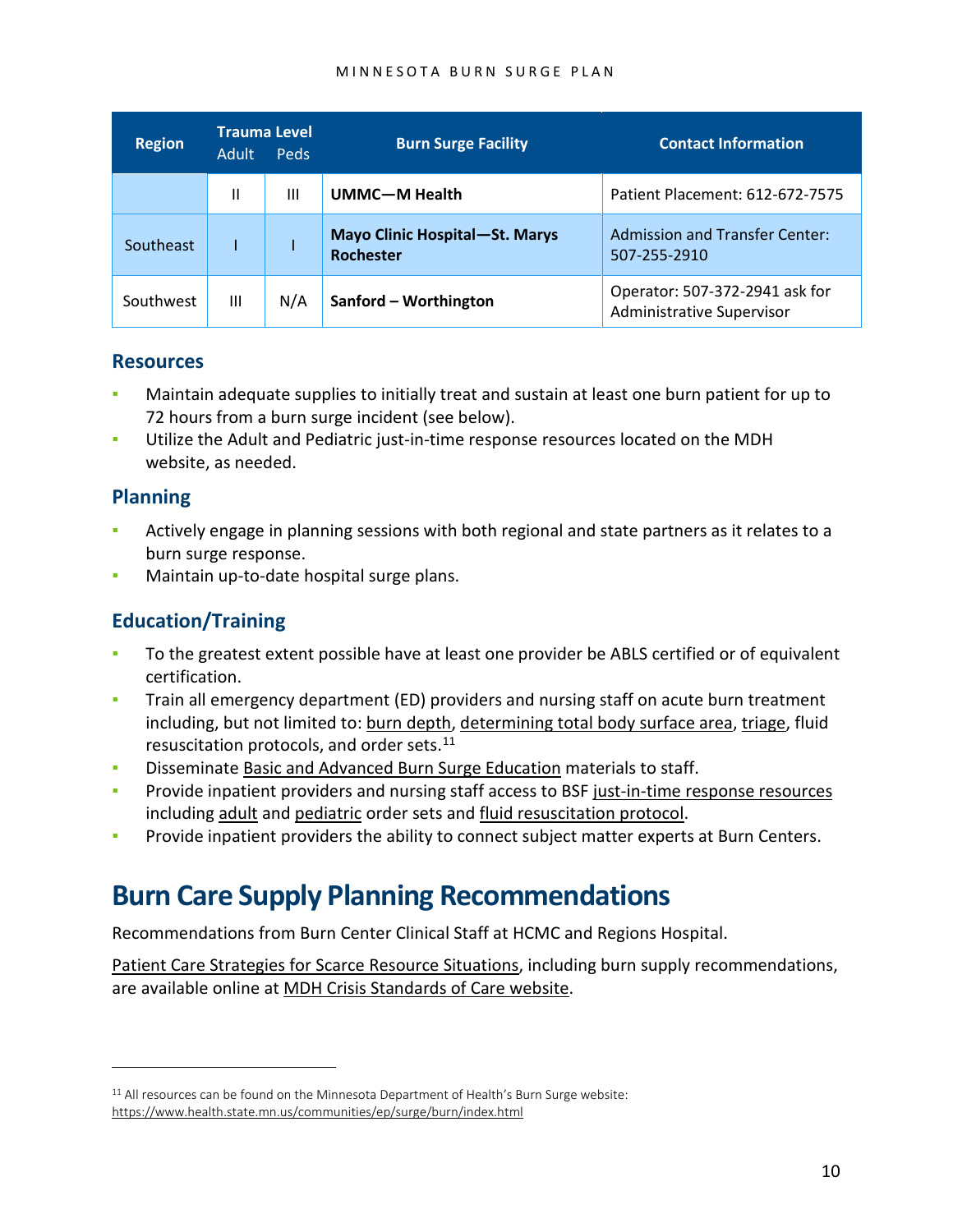#### MINNESOTA BURN SURGE PLAN

| <b>Region</b> | <b>Adult</b> | <b>Trauma Level</b><br><b>Peds</b> | <b>Burn Surge Facility</b>                         | <b>Contact Information</b>                                         |
|---------------|--------------|------------------------------------|----------------------------------------------------|--------------------------------------------------------------------|
|               | Ш            | Ш                                  | UMMC-M Health                                      | Patient Placement: 612-672-7575                                    |
| Southeast     |              |                                    | Mayo Clinic Hospital-St. Marys<br><b>Rochester</b> | <b>Admission and Transfer Center:</b><br>507-255-2910              |
| Southwest     | Ш            | N/A                                | Sanford - Worthington                              | Operator: 507-372-2941 ask for<br><b>Administrative Supervisor</b> |

#### **Resources**

- Maintain adequate supplies to initially treat and sustain at least one burn patient for up to 72 hours from a burn surge incident (see below).
- Utilize the Adult and Pediatric just-in-time response resources located on the MDH website, as needed.

#### **Planning**

 $\overline{a}$ 

- Actively engage in planning sessions with both regional and state partners as it relates to a burn surge response.
- Maintain up-to-date hospital surge plans.

#### **Education/Training**

- To the greatest extent possible have at least one provider be ABLS certified or of equivalent certification.
- Train all emergency department (ED) providers and nursing staff on acute burn treatment including, but not limited to: [burn depth,](https://www.health.state.mn.us/communities/ep/surge/burn/burndepth.pdf) [determining total body surface area,](https://www.health.state.mn.us/communities/ep/surge/burn/tbsa.pdf) [triage,](https://www.health.state.mn.us/communities/ep/surge/burn/triageburns.pdf) fluid resuscitation protocols, and order sets.<sup>[11](#page-9-1)</sup>
- Disseminate [Basic and Advanced Burn Surge Education](https://www.health.state.mn.us/communities/ep/surge/burn/video.html) materials to staff.
- Provide inpatient providers and nursing staff access to BSF [just-in-time response resources](https://www.health.state.mn.us/communities/ep/surge/burn/index.html) including [adult](https://www.health.state.mn.us/communities/ep/surge/burn/adultorders.pdf) and [pediatric](https://www.health.state.mn.us/communities/ep/surge/burn/pedsorders.pdf) order sets and [fluid resuscitation protocol.](https://www.health.state.mn.us/communities/ep/surge/burn/fluid.pdf)
- **Provide inpatient providers the ability to connect subject matter experts at Burn Centers.**

### <span id="page-9-0"></span>**Burn Care Supply Planning Recommendations**

Recommendations from Burn Center Clinical Staff at HCMC and Regions Hospital.

[Patient Care Strategies for Scarce Resource Situations,](https://www.health.state.mn.us/communities/ep/surge/crisis/standards.pdf) including burn supply recommendations, are available online at [MDH Crisis Standards of Care website.](https://www.health.state.mn.us/communities/ep/surge/crisis/index.html)

<span id="page-9-1"></span><sup>&</sup>lt;sup>11</sup> All resources can be found on the Minnesota Department of Health's Burn Surge website: <https://www.health.state.mn.us/communities/ep/surge/burn/index.html>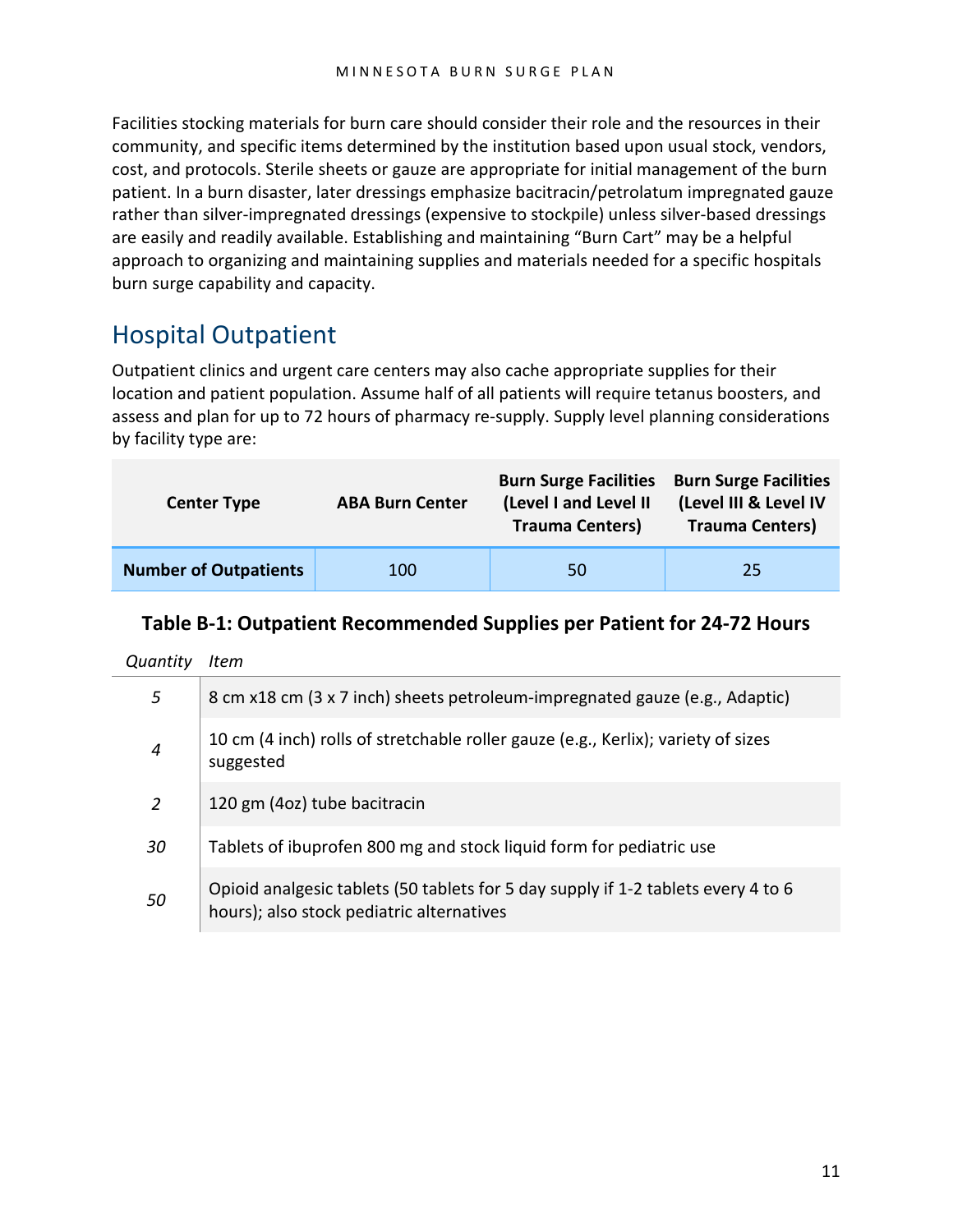Facilities stocking materials for burn care should consider their role and the resources in their community, and specific items determined by the institution based upon usual stock, vendors, cost, and protocols. Sterile sheets or gauze are appropriate for initial management of the burn patient. In a burn disaster, later dressings emphasize bacitracin/petrolatum impregnated gauze rather than silver-impregnated dressings (expensive to stockpile) unless silver-based dressings are easily and readily available. Establishing and maintaining "Burn Cart" may be a helpful approach to organizing and maintaining supplies and materials needed for a specific hospitals burn surge capability and capacity.

### <span id="page-10-0"></span>Hospital Outpatient

Outpatient clinics and urgent care centers may also cache appropriate supplies for their location and patient population. Assume half of all patients will require tetanus boosters, and assess and plan for up to 72 hours of pharmacy re-supply. Supply level planning considerations by facility type are:

| <b>Center Type</b>           | <b>ABA Burn Center</b> |    | <b>Burn Surge Facilities</b><br>(Level III & Level IV<br><b>Trauma Centers)</b> |  |
|------------------------------|------------------------|----|---------------------------------------------------------------------------------|--|
| <b>Number of Outpatients</b> | 100                    | 50 | 25                                                                              |  |

#### **Table B-1: Outpatient Recommended Supplies per Patient for 24-72 Hours**

*Quantity Item*

| 5  | 8 cm x18 cm (3 x 7 inch) sheets petroleum-impregnated gauze (e.g., Adaptic)                                                    |
|----|--------------------------------------------------------------------------------------------------------------------------------|
| 4  | 10 cm (4 inch) rolls of stretchable roller gauze (e.g., Kerlix); variety of sizes<br>suggested                                 |
| 2  | 120 gm (4oz) tube bacitracin                                                                                                   |
| 30 | Tablets of ibuprofen 800 mg and stock liquid form for pediatric use                                                            |
| 50 | Opioid analgesic tablets (50 tablets for 5 day supply if 1-2 tablets every 4 to 6<br>hours); also stock pediatric alternatives |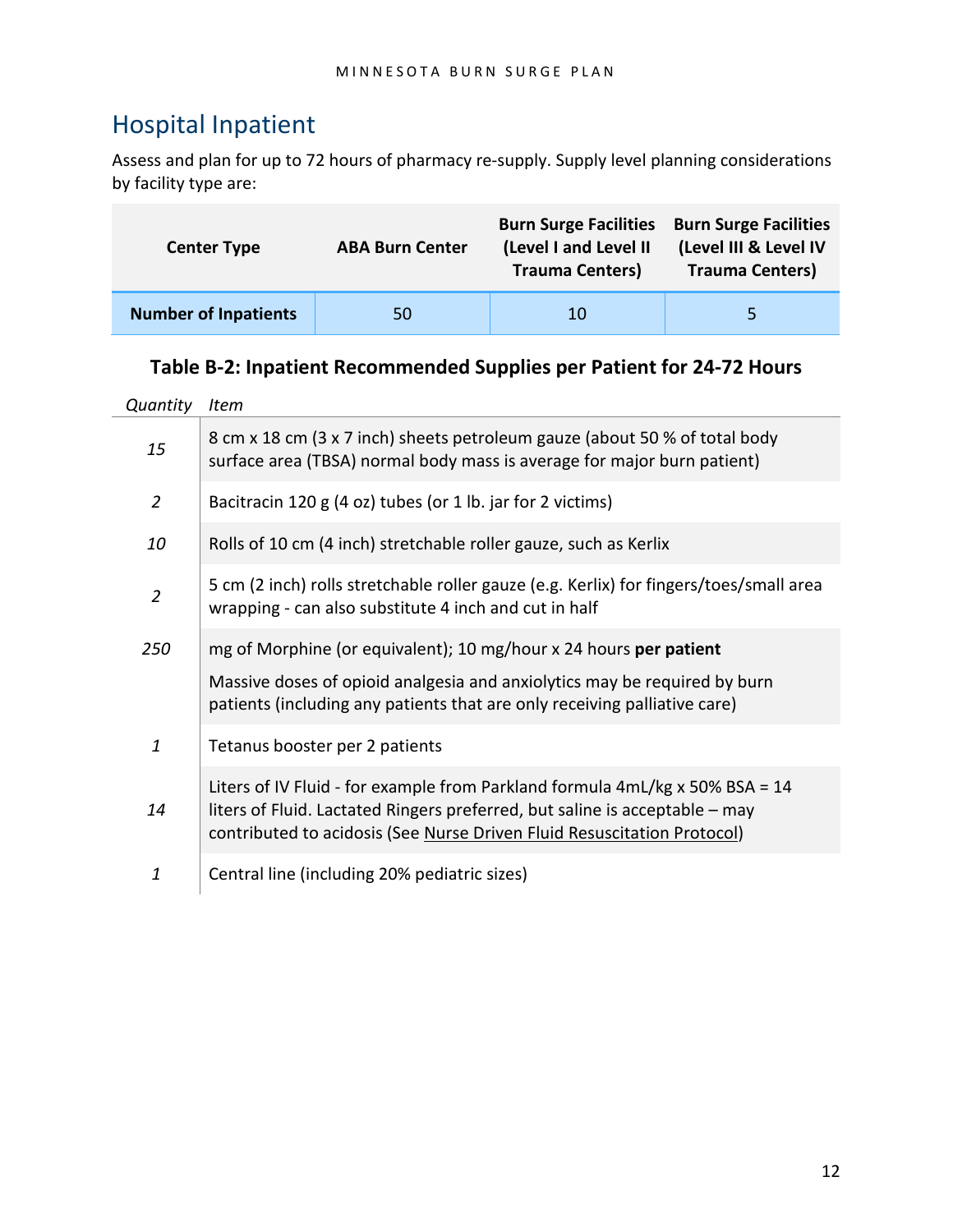### <span id="page-11-0"></span>Hospital Inpatient

Assess and plan for up to 72 hours of pharmacy re-supply. Supply level planning considerations by facility type are:

| <b>Center Type</b>          | <b>ABA Burn Center</b> | <b>Burn Surge Facilities</b><br>(Level I and Level II<br><b>Trauma Centers)</b> | <b>Burn Surge Facilities</b><br>(Level III & Level IV<br><b>Trauma Centers)</b> |  |
|-----------------------------|------------------------|---------------------------------------------------------------------------------|---------------------------------------------------------------------------------|--|
| <b>Number of Inpatients</b> | 50                     | 10                                                                              | 5.                                                                              |  |

#### **Table B-2: Inpatient Recommended Supplies per Patient for 24-72 Hours**

| Quantity       | <b>Item</b>                                                                                                                                                                                                                                    |
|----------------|------------------------------------------------------------------------------------------------------------------------------------------------------------------------------------------------------------------------------------------------|
| 15             | 8 cm x 18 cm (3 x 7 inch) sheets petroleum gauze (about 50 % of total body<br>surface area (TBSA) normal body mass is average for major burn patient)                                                                                          |
| $\overline{2}$ | Bacitracin 120 g (4 oz) tubes (or 1 lb. jar for 2 victims)                                                                                                                                                                                     |
| 10             | Rolls of 10 cm (4 inch) stretchable roller gauze, such as Kerlix                                                                                                                                                                               |
| $\overline{2}$ | 5 cm (2 inch) rolls stretchable roller gauze (e.g. Kerlix) for fingers/toes/small area<br>wrapping - can also substitute 4 inch and cut in half                                                                                                |
| 250            | mg of Morphine (or equivalent); 10 mg/hour x 24 hours per patient                                                                                                                                                                              |
|                | Massive doses of opioid analgesia and anxiolytics may be required by burn<br>patients (including any patients that are only receiving palliative care)                                                                                         |
| 1              | Tetanus booster per 2 patients                                                                                                                                                                                                                 |
| 14             | Liters of IV Fluid - for example from Parkland formula $4mL/kg \times 50\%$ BSA = 14<br>liters of Fluid. Lactated Ringers preferred, but saline is acceptable - may<br>contributed to acidosis (See Nurse Driven Fluid Resuscitation Protocol) |
| 1              | Central line (including 20% pediatric sizes)                                                                                                                                                                                                   |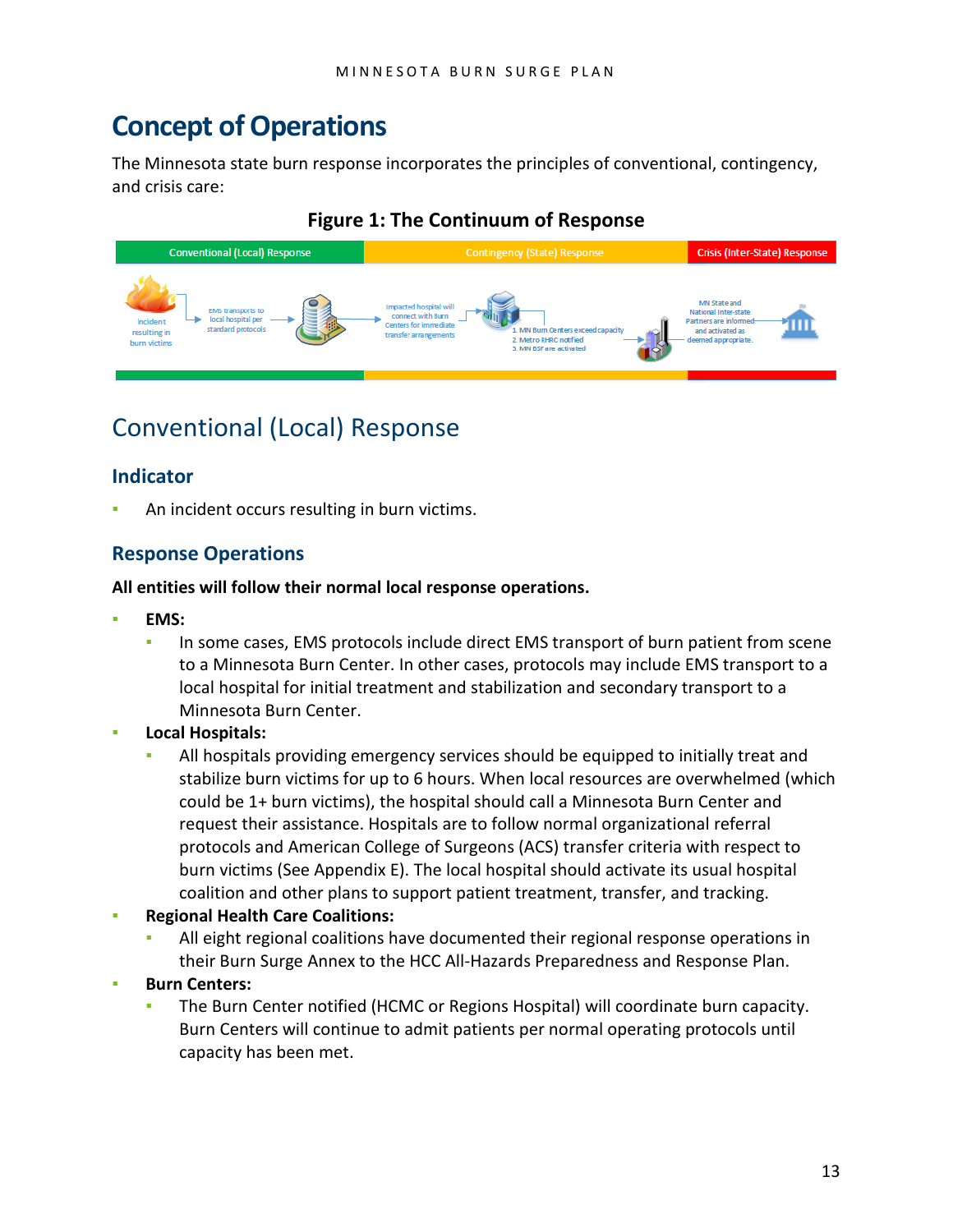## <span id="page-12-0"></span>**Concept of Operations**

The Minnesota state burn response incorporates the principles of conventional, contingency, and crisis care:

#### **Figure 1: The Continuum of Response**



### <span id="page-12-1"></span>Conventional (Local) Response

#### **Indicator**

An incident occurs resulting in burn victims.

#### **Response Operations**

#### **All entities will follow their normal local response operations.**

- **EMS:**
	- **In some cases, EMS protocols include direct EMS transport of burn patient from scene** to a Minnesota Burn Center. In other cases, protocols may include EMS transport to a local hospital for initial treatment and stabilization and secondary transport to a Minnesota Burn Center.
- **Local Hospitals:**
	- All hospitals providing emergency services should be equipped to initially treat and stabilize burn victims for up to 6 hours. When local resources are overwhelmed (which could be 1+ burn victims), the hospital should call a Minnesota Burn Center and request their assistance. Hospitals are to follow normal organizational referral protocols and American College of Surgeons (ACS) transfer criteria with respect to burn victims (See Appendix E). The local hospital should activate its usual hospital coalition and other plans to support patient treatment, transfer, and tracking.
- **Regional Health Care Coalitions:**
	- All eight regional coalitions have documented their regional response operations in their Burn Surge Annex to the HCC All-Hazards Preparedness and Response Plan.
- **Burn Centers:** 
	- The Burn Center notified (HCMC or Regions Hospital) will coordinate burn capacity. Burn Centers will continue to admit patients per normal operating protocols until capacity has been met.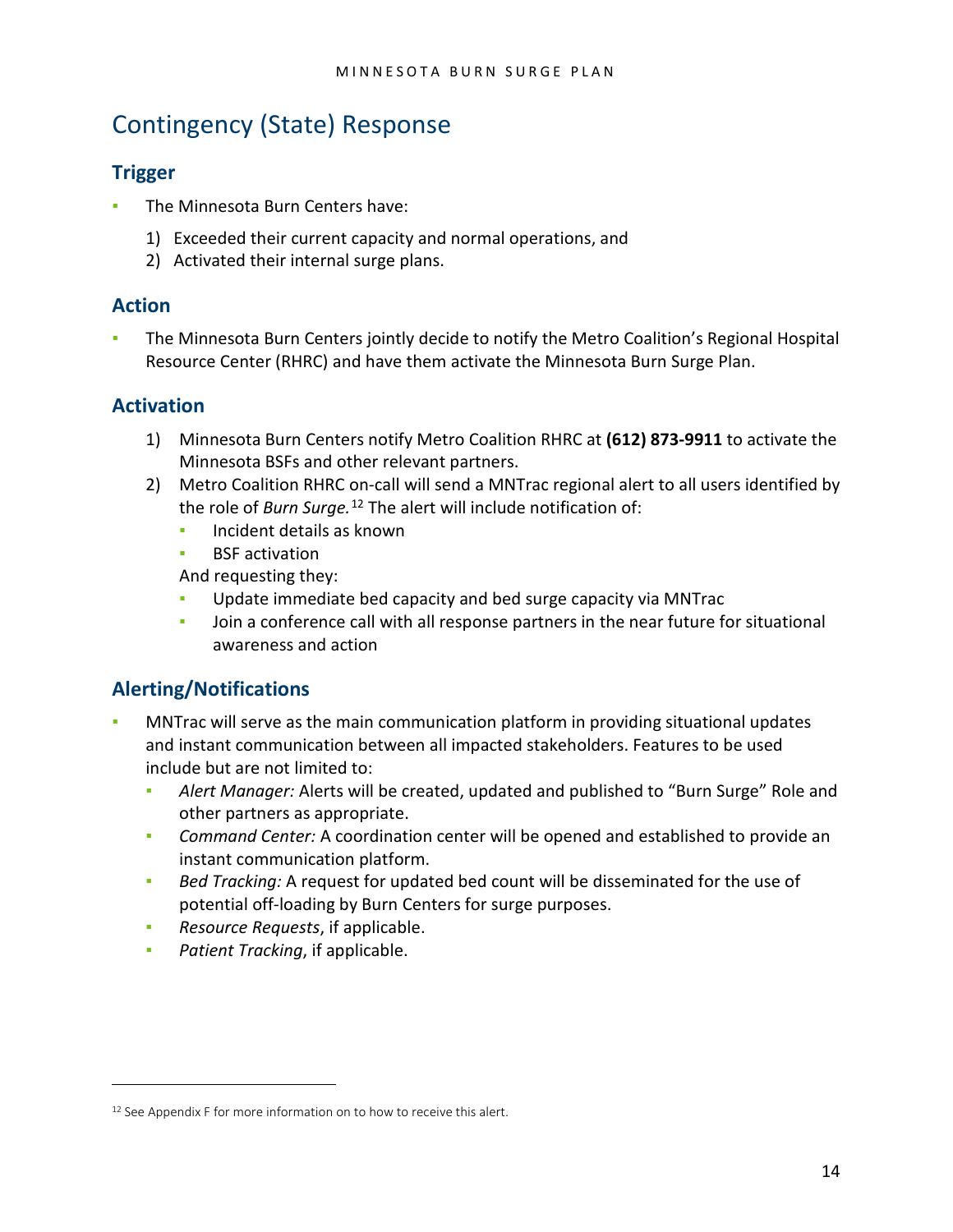## <span id="page-13-0"></span>Contingency (State) Response

#### **Trigger**

- The Minnesota Burn Centers have:
	- 1) Exceeded their current capacity and normal operations, and
	- 2) Activated their internal surge plans.

#### **Action**

The Minnesota Burn Centers jointly decide to notify the Metro Coalition's Regional Hospital Resource Center (RHRC) and have them activate the Minnesota Burn Surge Plan.

#### **Activation**

- 1) Minnesota Burn Centers notify Metro Coalition RHRC at **(612) 873-9911** to activate the Minnesota BSFs and other relevant partners.
- 2) Metro Coalition RHRC on-call will send a MNTrac regional alert to all users identified by the role of *Burn Surge.*[12](#page-13-1) The alert will include notification of:
	- Incident details as known
	- **BSF** activation

And requesting they:

- Update immediate bed capacity and bed surge capacity via MNTrac
- Join a conference call with all response partners in the near future for situational awareness and action

#### **Alerting/Notifications**

 $\overline{a}$ 

- MNTrac will serve as the main communication platform in providing situational updates and instant communication between all impacted stakeholders. Features to be used include but are not limited to:
	- *Alert Manager:* Alerts will be created, updated and published to "Burn Surge" Role and other partners as appropriate.
	- **EXED** *Command Center:* A coordination center will be opened and established to provide an instant communication platform.
	- *Bed Tracking:* A request for updated bed count will be disseminated for the use of potential off-loading by Burn Centers for surge purposes.
	- *Resource Requests*, if applicable.
	- **Patient Tracking, if applicable.**

<span id="page-13-1"></span><sup>&</sup>lt;sup>12</sup> See Appendix F for more information on to how to receive this alert.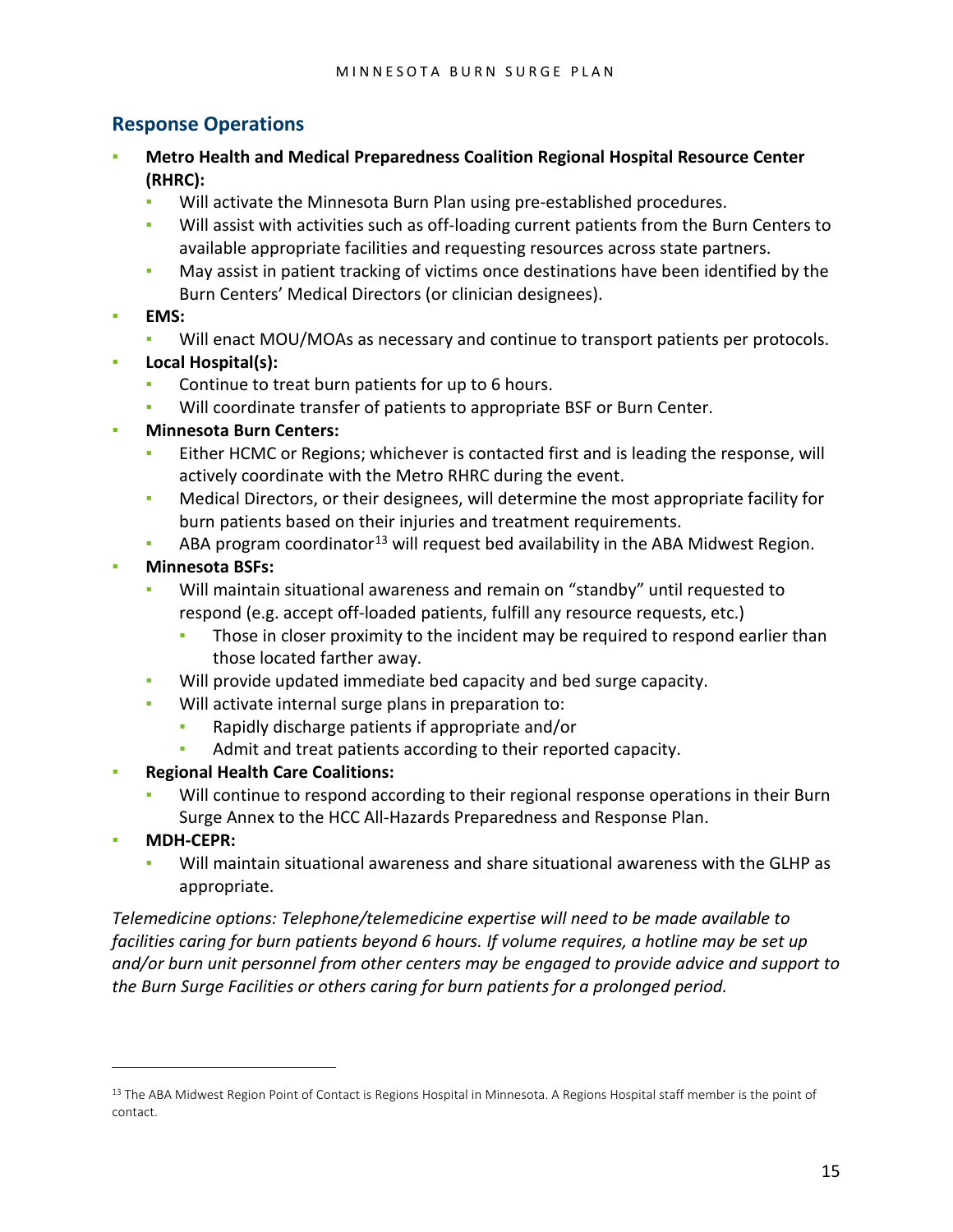#### **Response Operations**

- **Metro Health and Medical Preparedness Coalition Regional Hospital Resource Center (RHRC):** 
	- Will activate the Minnesota Burn Plan using pre-established procedures.
	- Will assist with activities such as off-loading current patients from the Burn Centers to available appropriate facilities and requesting resources across state partners.
	- **May assist in patient tracking of victims once destinations have been identified by the** Burn Centers' Medical Directors (or clinician designees).
- **EMS:**
	- Will enact MOU/MOAs as necessary and continue to transport patients per protocols.
- **Local Hospital(s):**
	- Continue to treat burn patients for up to 6 hours.
	- Will coordinate transfer of patients to appropriate BSF or Burn Center.
- **Minnesota Burn Centers:** 
	- Either HCMC or Regions; whichever is contacted first and is leading the response, will actively coordinate with the Metro RHRC during the event.
	- **Medical Directors, or their designees, will determine the most appropriate facility for** burn patients based on their injuries and treatment requirements.
	- ABA program coordinator<sup>[13](#page-14-0)</sup> will request bed availability in the ABA Midwest Region.
- **Minnesota BSFs:**
	- Will maintain situational awareness and remain on "standby" until requested to respond (e.g. accept off-loaded patients, fulfill any resource requests, etc.)
		- **•** Those in closer proximity to the incident may be required to respond earlier than those located farther away.
	- Will provide updated immediate bed capacity and bed surge capacity.
	- Will activate internal surge plans in preparation to:
		- Rapidly discharge patients if appropriate and/or
		- **EXECT** Admit and treat patients according to their reported capacity.
- **Regional Health Care Coalitions:**
	- Will continue to respond according to their regional response operations in their Burn Surge Annex to the HCC All-Hazards Preparedness and Response Plan.
- **MDH-CEPR:**

 $\overline{a}$ 

Will maintain situational awareness and share situational awareness with the GLHP as appropriate.

*Telemedicine options: Telephone/telemedicine expertise will need to be made available to facilities caring for burn patients beyond 6 hours. If volume requires, a hotline may be set up and/or burn unit personnel from other centers may be engaged to provide advice and support to the Burn Surge Facilities or others caring for burn patients for a prolonged period.*

<span id="page-14-0"></span><sup>&</sup>lt;sup>13</sup> The ABA Midwest Region Point of Contact is Regions Hospital in Minnesota. A Regions Hospital staff member is the point of contact.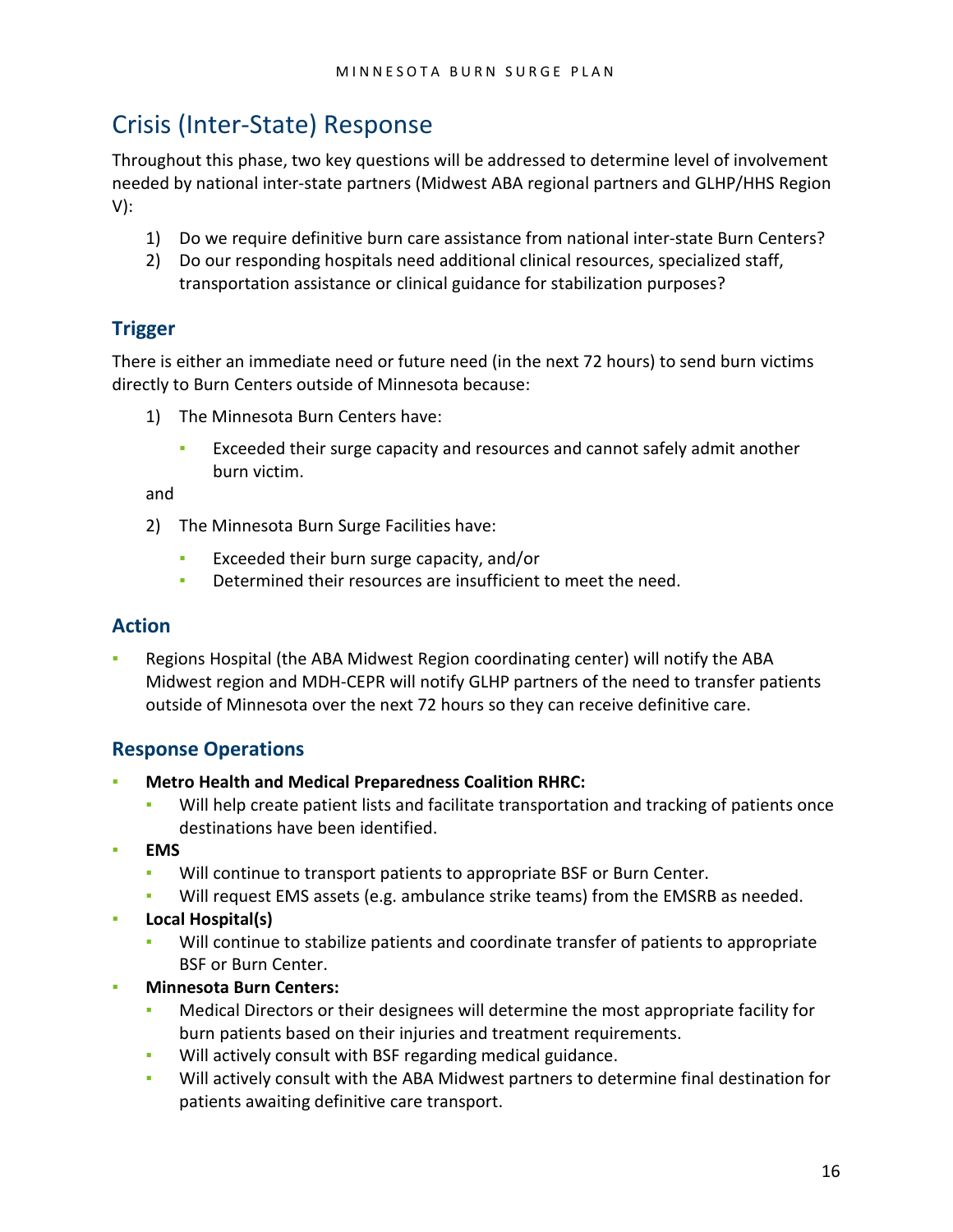## <span id="page-15-0"></span>Crisis (Inter-State) Response

Throughout this phase, two key questions will be addressed to determine level of involvement needed by national inter-state partners (Midwest ABA regional partners and GLHP/HHS Region V):

- 1) Do we require definitive burn care assistance from national inter-state Burn Centers?
- 2) Do our responding hospitals need additional clinical resources, specialized staff, transportation assistance or clinical guidance for stabilization purposes?

#### **Trigger**

There is either an immediate need or future need (in the next 72 hours) to send burn victims directly to Burn Centers outside of Minnesota because:

- 1) The Minnesota Burn Centers have:
	- Exceeded their surge capacity and resources and cannot safely admit another burn victim.

and

- 2) The Minnesota Burn Surge Facilities have:
	- Exceeded their burn surge capacity, and/or
	- **EXECTE:** Determined their resources are insufficient to meet the need.

#### **Action**

Regions Hospital (the ABA Midwest Region coordinating center) will notify the ABA Midwest region and MDH-CEPR will notify GLHP partners of the need to transfer patients outside of Minnesota over the next 72 hours so they can receive definitive care.

#### **Response Operations**

- **Metro Health and Medical Preparedness Coalition RHRC:**
	- Will help create patient lists and facilitate transportation and tracking of patients once destinations have been identified.
- **EMS**
	- Will continue to transport patients to appropriate BSF or Burn Center.
	- Will request EMS assets (e.g. ambulance strike teams) from the EMSRB as needed.
- **Local Hospital(s)**
	- Will continue to stabilize patients and coordinate transfer of patients to appropriate BSF or Burn Center.
- **Minnesota Burn Centers:**
	- Medical Directors or their designees will determine the most appropriate facility for burn patients based on their injuries and treatment requirements.
	- Will actively consult with BSF regarding medical guidance.
	- Will actively consult with the ABA Midwest partners to determine final destination for patients awaiting definitive care transport.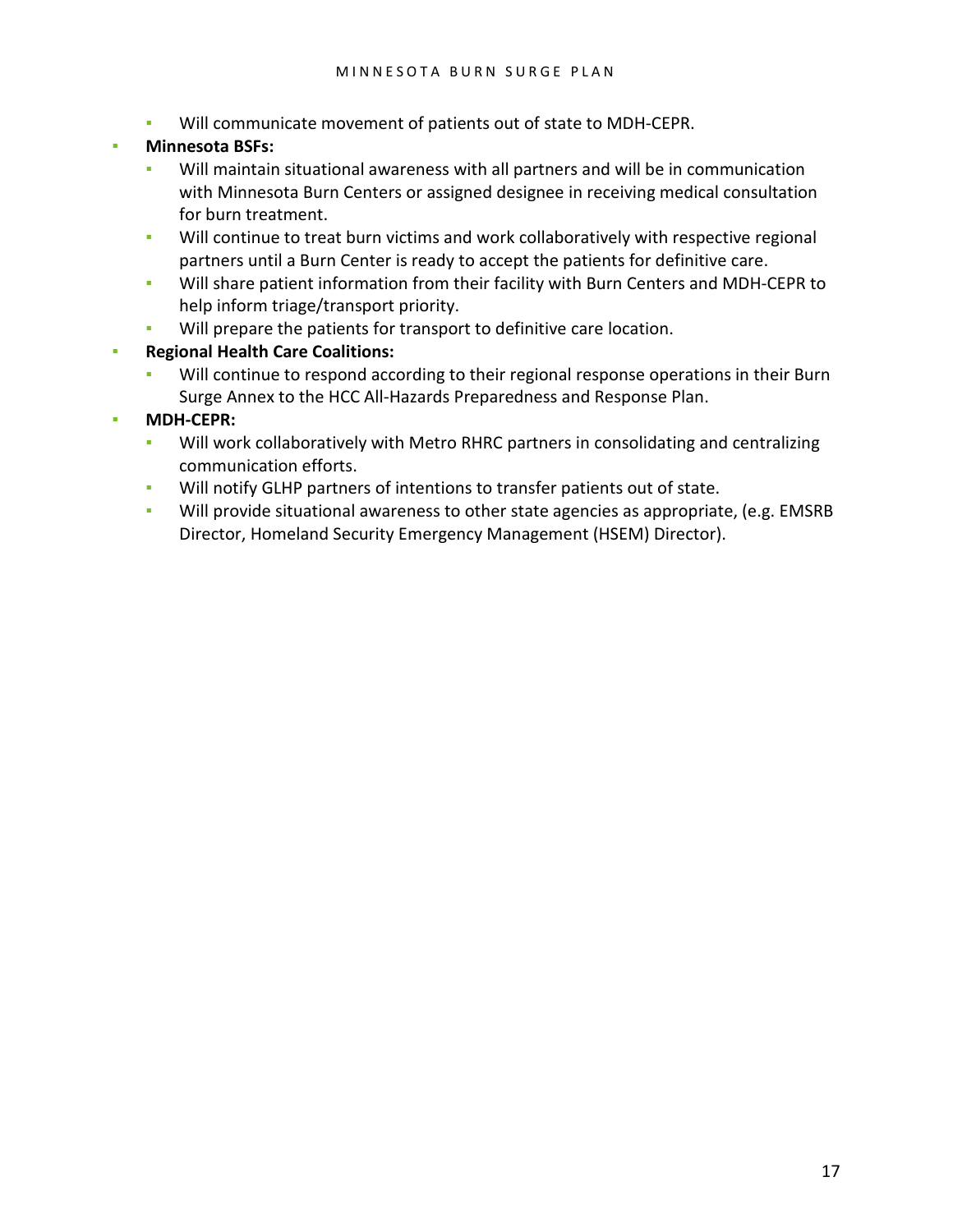- Will communicate movement of patients out of state to MDH-CEPR.
- **Minnesota BSFs:**
	- Will maintain situational awareness with all partners and will be in communication with Minnesota Burn Centers or assigned designee in receiving medical consultation for burn treatment.
	- **•** Will continue to treat burn victims and work collaboratively with respective regional partners until a Burn Center is ready to accept the patients for definitive care.
	- Will share patient information from their facility with Burn Centers and MDH-CEPR to help inform triage/transport priority.
	- Will prepare the patients for transport to definitive care location.
- **Regional Health Care Coalitions:**
	- Will continue to respond according to their regional response operations in their Burn Surge Annex to the HCC All-Hazards Preparedness and Response Plan.
- **MDH-CEPR:**
	- Will work collaboratively with Metro RHRC partners in consolidating and centralizing communication efforts.
	- Will notify GLHP partners of intentions to transfer patients out of state.
	- Will provide situational awareness to other state agencies as appropriate, (e.g. EMSRB Director, Homeland Security Emergency Management (HSEM) Director).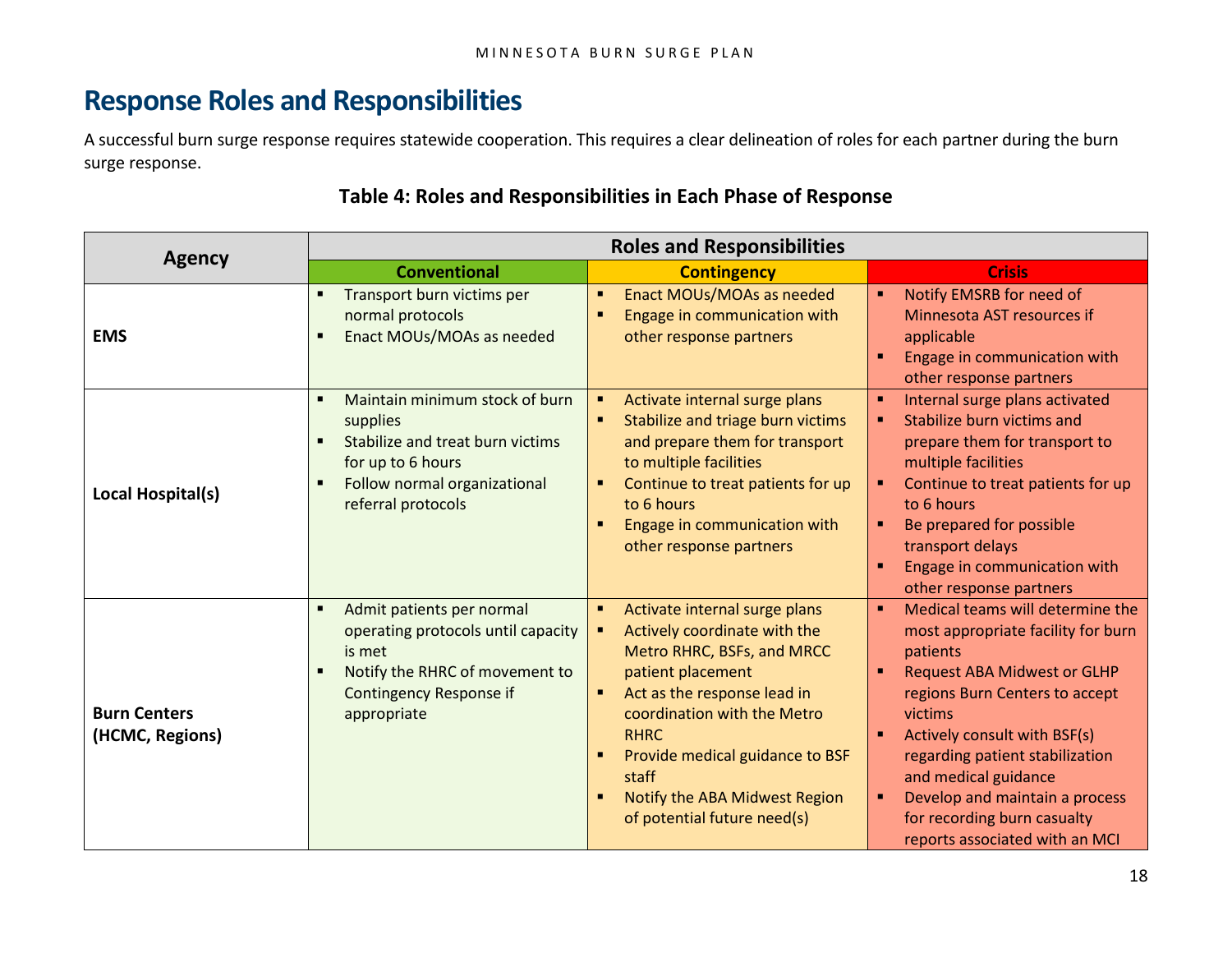## **Response Roles and Responsibilities**

A successful burn surge response requires statewide cooperation. This requires a clear delineation of roles for each partner during the burn surge response.

<span id="page-17-0"></span>

|                                        | <b>Roles and Responsibilities</b>                                                                                                                                                   |                                                                                                                                                                                                                                                                                                                               |                                                                                                                                                                                                                                                                                                                                                                                            |  |  |
|----------------------------------------|-------------------------------------------------------------------------------------------------------------------------------------------------------------------------------------|-------------------------------------------------------------------------------------------------------------------------------------------------------------------------------------------------------------------------------------------------------------------------------------------------------------------------------|--------------------------------------------------------------------------------------------------------------------------------------------------------------------------------------------------------------------------------------------------------------------------------------------------------------------------------------------------------------------------------------------|--|--|
| <b>Agency</b>                          | <b>Conventional</b>                                                                                                                                                                 | <b>Contingency</b>                                                                                                                                                                                                                                                                                                            | <b>Crisis</b>                                                                                                                                                                                                                                                                                                                                                                              |  |  |
| <b>EMS</b>                             | Transport burn victims per<br>normal protocols<br>Enact MOUs/MOAs as needed<br>л                                                                                                    | Enact MOUs/MOAs as needed<br>٠<br>Engage in communication with<br>п<br>other response partners                                                                                                                                                                                                                                | Notify EMSRB for need of<br>$\blacksquare$<br>Minnesota AST resources if<br>applicable<br>Engage in communication with<br>other response partners                                                                                                                                                                                                                                          |  |  |
| Local Hospital(s)                      | Maintain minimum stock of burn<br>supplies<br>Stabilize and treat burn victims<br>for up to 6 hours<br>Follow normal organizational<br>referral protocols                           | Activate internal surge plans<br>٠<br>Stabilize and triage burn victims<br>٠<br>and prepare them for transport<br>to multiple facilities<br>Continue to treat patients for up<br>٠<br>to 6 hours<br>Engage in communication with<br>$\blacksquare$<br>other response partners                                                 | Internal surge plans activated<br>Stabilize burn victims and<br>prepare them for transport to<br>multiple facilities<br>Continue to treat patients for up<br>٠<br>to 6 hours<br>Be prepared for possible<br>٠<br>transport delays<br>Engage in communication with<br>п<br>other response partners                                                                                          |  |  |
| <b>Burn Centers</b><br>(HCMC, Regions) | Admit patients per normal<br>$\blacksquare$<br>operating protocols until capacity<br>is met<br>Notify the RHRC of movement to<br>л<br><b>Contingency Response if</b><br>appropriate | Activate internal surge plans<br>٠<br>Actively coordinate with the<br>٠<br>Metro RHRC, BSFs, and MRCC<br>patient placement<br>Act as the response lead in<br>coordination with the Metro<br><b>RHRC</b><br>Provide medical guidance to BSF<br>٠<br>staff<br>Notify the ABA Midwest Region<br>п<br>of potential future need(s) | Medical teams will determine the<br>$\blacksquare$<br>most appropriate facility for burn<br>patients<br><b>Request ABA Midwest or GLHP</b><br>regions Burn Centers to accept<br>victims<br>Actively consult with BSF(s)<br>regarding patient stabilization<br>and medical guidance<br>Develop and maintain a process<br>٠<br>for recording burn casualty<br>reports associated with an MCI |  |  |

#### **Table 4: Roles and Responsibilities in Each Phase of Response**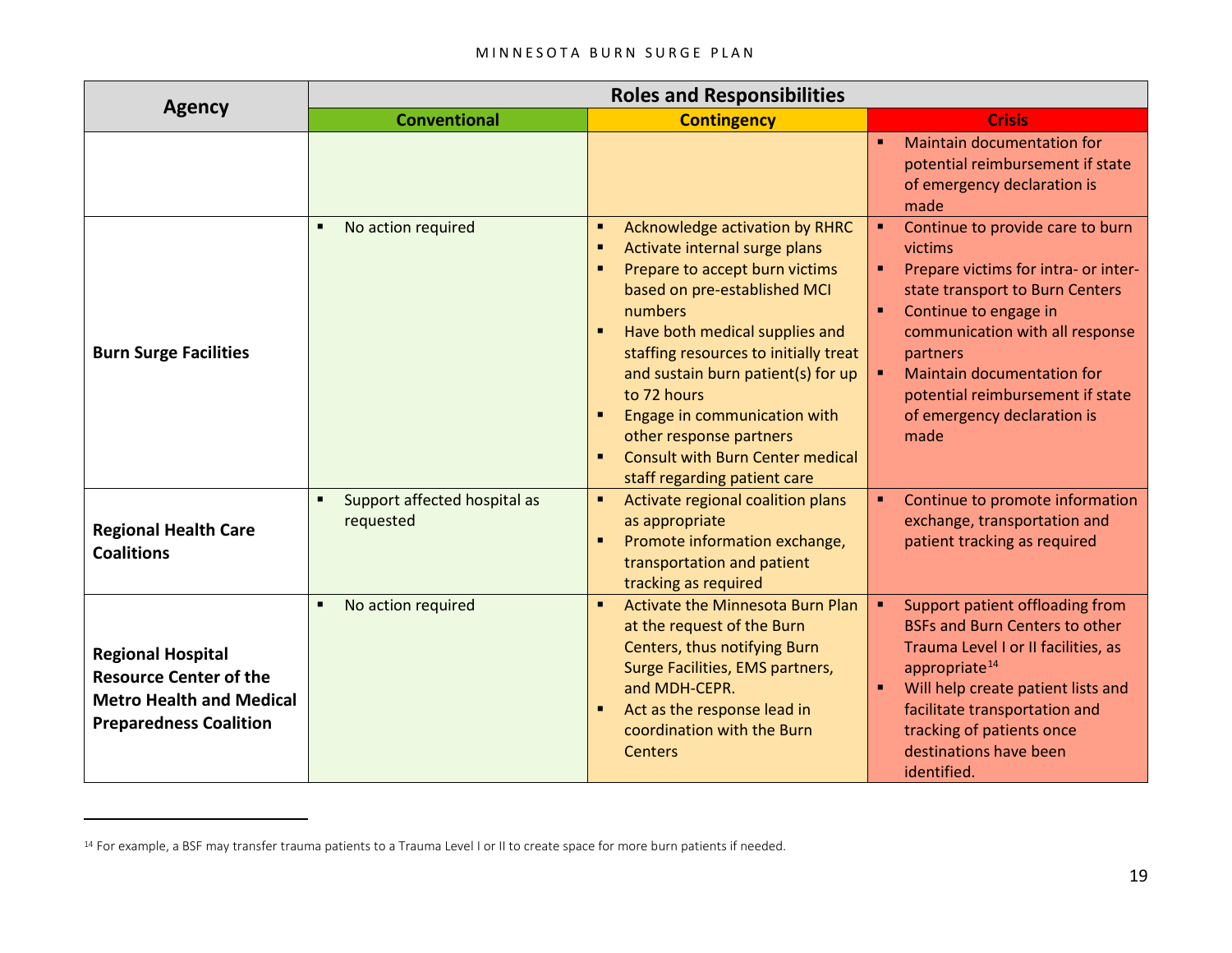#### <span id="page-18-0"></span>MINNESOTA BURN SURGE PLAN

|                                                                                                                               |                                           | <b>Roles and Responsibilities</b>                                                                                                                                                                                                                                                                                                                                                                                            |                                                                                                                                                                                                                                                                                                                                                            |  |  |
|-------------------------------------------------------------------------------------------------------------------------------|-------------------------------------------|------------------------------------------------------------------------------------------------------------------------------------------------------------------------------------------------------------------------------------------------------------------------------------------------------------------------------------------------------------------------------------------------------------------------------|------------------------------------------------------------------------------------------------------------------------------------------------------------------------------------------------------------------------------------------------------------------------------------------------------------------------------------------------------------|--|--|
| <b>Agency</b>                                                                                                                 | <b>Conventional</b>                       | <b>Contingency</b>                                                                                                                                                                                                                                                                                                                                                                                                           | <b>Crisis</b>                                                                                                                                                                                                                                                                                                                                              |  |  |
|                                                                                                                               |                                           |                                                                                                                                                                                                                                                                                                                                                                                                                              | <b>Maintain documentation for</b><br>potential reimbursement if state<br>of emergency declaration is<br>made                                                                                                                                                                                                                                               |  |  |
| <b>Burn Surge Facilities</b>                                                                                                  | No action required<br>٠                   | Acknowledge activation by RHRC<br>٠<br>Activate internal surge plans<br>п<br>Prepare to accept burn victims<br>based on pre-established MCI<br>numbers<br>Have both medical supplies and<br>staffing resources to initially treat<br>and sustain burn patient(s) for up<br>to 72 hours<br>Engage in communication with<br>other response partners<br><b>Consult with Burn Center medical</b><br>staff regarding patient care | Continue to provide care to burn<br>$\bullet$ .<br>victims<br>Prepare victims for intra- or inter-<br>state transport to Burn Centers<br>Continue to engage in<br>$\blacksquare$<br>communication with all response<br>partners<br>Maintain documentation for<br>$\blacksquare$<br>potential reimbursement if state<br>of emergency declaration is<br>made |  |  |
| <b>Regional Health Care</b><br><b>Coalitions</b>                                                                              | Support affected hospital as<br>requested | Activate regional coalition plans<br>٠<br>as appropriate<br>Promote information exchange,<br>п<br>transportation and patient<br>tracking as required                                                                                                                                                                                                                                                                         | Continue to promote information<br>exchange, transportation and<br>patient tracking as required                                                                                                                                                                                                                                                            |  |  |
| <b>Regional Hospital</b><br><b>Resource Center of the</b><br><b>Metro Health and Medical</b><br><b>Preparedness Coalition</b> | No action required                        | Activate the Minnesota Burn Plan<br>$\blacksquare$<br>at the request of the Burn<br>Centers, thus notifying Burn<br>Surge Facilities, EMS partners,<br>and MDH-CEPR.<br>Act as the response lead in<br>٠<br>coordination with the Burn<br><b>Centers</b>                                                                                                                                                                     | Support patient offloading from<br>$\blacksquare$<br><b>BSFs and Burn Centers to other</b><br>Trauma Level I or II facilities, as<br>appropriate $14$<br>Will help create patient lists and<br>facilitate transportation and<br>tracking of patients once<br>destinations have been<br>identified.                                                         |  |  |

 $\overline{a}$ 

<sup>&</sup>lt;sup>14</sup> For example, a BSF may transfer trauma patients to a Trauma Level I or II to create space for more burn patients if needed.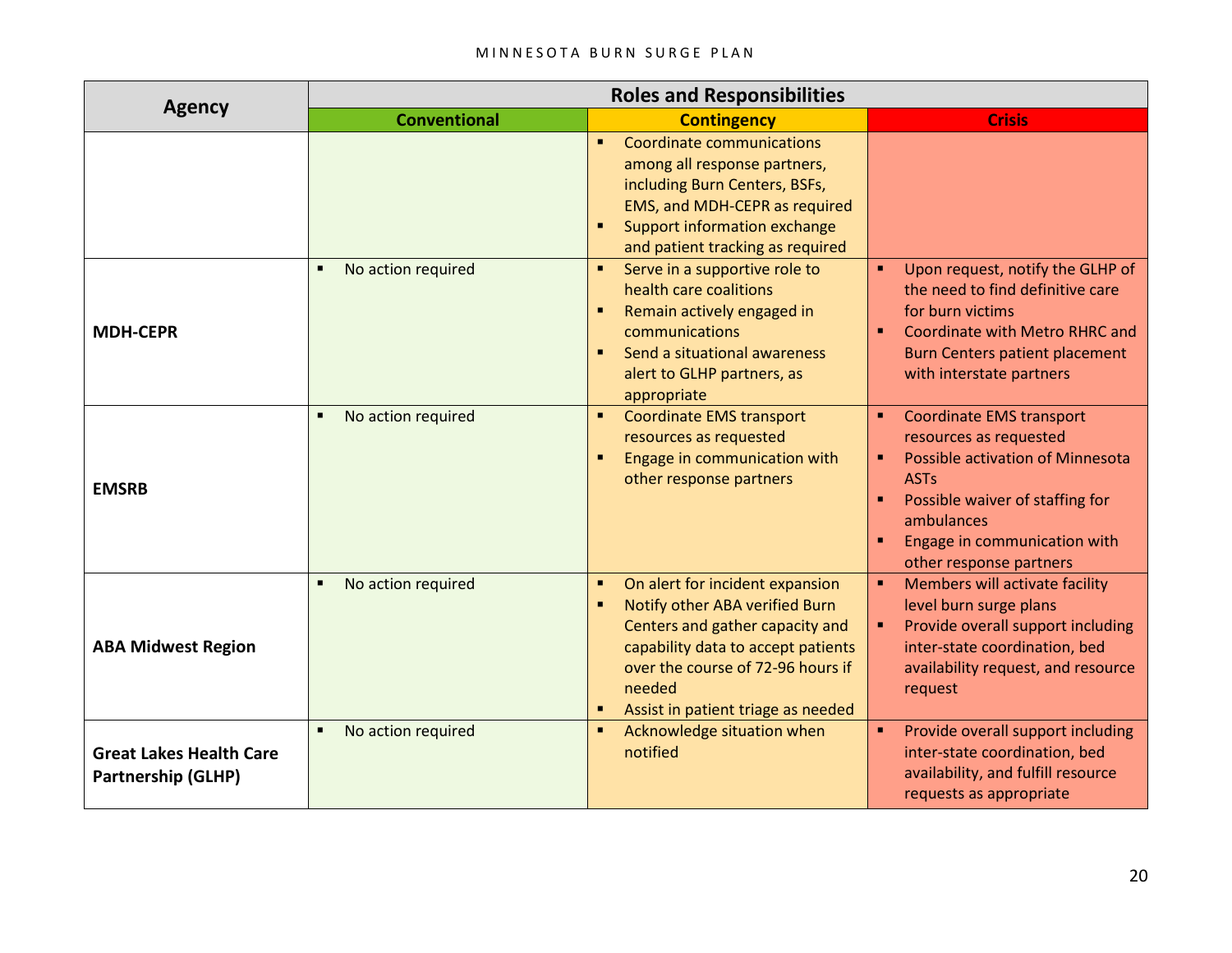#### MINNESOTA BURN SURGE PLAN

| <b>Agency</b>                                        |                                      |                                                                                                                                                                                                                                                             |                                                                                                                                                                                                                                                 |
|------------------------------------------------------|--------------------------------------|-------------------------------------------------------------------------------------------------------------------------------------------------------------------------------------------------------------------------------------------------------------|-------------------------------------------------------------------------------------------------------------------------------------------------------------------------------------------------------------------------------------------------|
|                                                      | <b>Conventional</b>                  | <b>Contingency</b>                                                                                                                                                                                                                                          | <b>Crisis</b>                                                                                                                                                                                                                                   |
|                                                      |                                      | Coordinate communications<br>$\blacksquare$<br>among all response partners,<br>including Burn Centers, BSFs,<br>EMS, and MDH-CEPR as required<br>Support information exchange<br>٠<br>and patient tracking as required                                      |                                                                                                                                                                                                                                                 |
| <b>MDH-CEPR</b>                                      | No action required<br>$\blacksquare$ | Serve in a supportive role to<br>$\blacksquare$<br>health care coalitions<br>Remain actively engaged in<br>$\blacksquare$<br>communications<br>Send a situational awareness<br>$\blacksquare$<br>alert to GLHP partners, as<br>appropriate                  | Upon request, notify the GLHP of<br>٠.<br>the need to find definitive care<br>for burn victims<br>Coordinate with Metro RHRC and<br><b>Burn Centers patient placement</b><br>with interstate partners                                           |
| <b>EMSRB</b>                                         | No action required<br>$\blacksquare$ | <b>Coordinate EMS transport</b><br>$\blacksquare$<br>resources as requested<br>Engage in communication with<br>٠<br>other response partners                                                                                                                 | <b>Coordinate EMS transport</b><br>$\blacksquare$<br>resources as requested<br>Possible activation of Minnesota<br>٠<br><b>ASTs</b><br>Possible waiver of staffing for<br>ambulances<br>Engage in communication with<br>other response partners |
| <b>ABA Midwest Region</b>                            | No action required<br>٠              | On alert for incident expansion<br>٠<br>Notify other ABA verified Burn<br>$\blacksquare$<br>Centers and gather capacity and<br>capability data to accept patients<br>over the course of 72-96 hours if<br>needed<br>Assist in patient triage as needed<br>٠ | Members will activate facility<br>$\blacksquare$<br>level burn surge plans<br>Provide overall support including<br>inter-state coordination, bed<br>availability request, and resource<br>request                                               |
| <b>Great Lakes Health Care</b><br>Partnership (GLHP) | No action required<br>$\blacksquare$ | Acknowledge situation when<br>٠<br>notified                                                                                                                                                                                                                 | Provide overall support including<br>inter-state coordination, bed<br>availability, and fulfill resource<br>requests as appropriate                                                                                                             |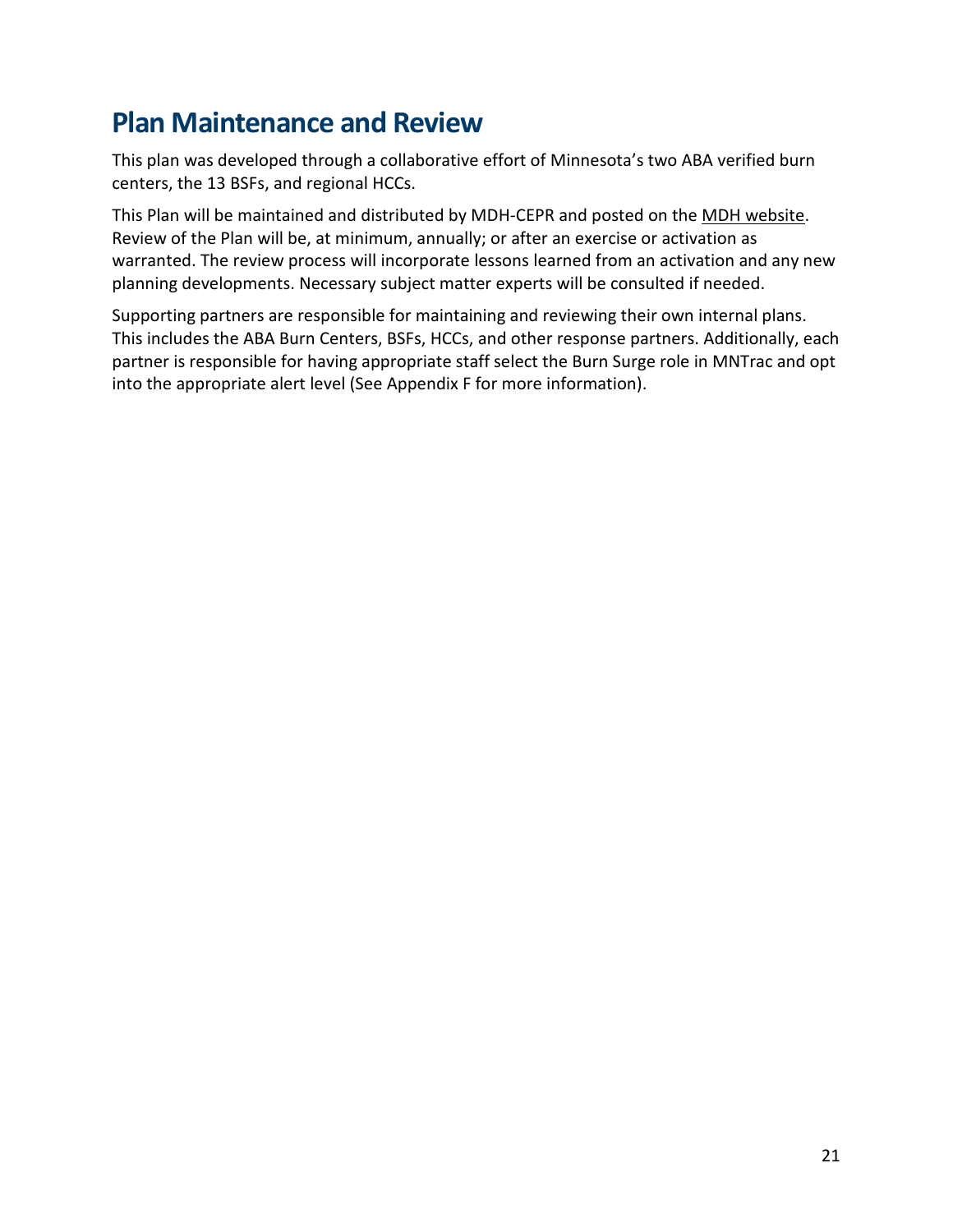## <span id="page-20-0"></span>**Plan Maintenance and Review**

This plan was developed through a collaborative effort of Minnesota's two ABA verified burn centers, the 13 BSFs, and regional HCCs.

This Plan will be maintained and distributed by MDH-CEPR and posted on the [MDH website.](https://www.health.state.mn.us/communities/ep/surge/burn/index.html) Review of the Plan will be, at minimum, annually; or after an exercise or activation as warranted. The review process will incorporate lessons learned from an activation and any new planning developments. Necessary subject matter experts will be consulted if needed.

Supporting partners are responsible for maintaining and reviewing their own internal plans. This includes the ABA Burn Centers, BSFs, HCCs, and other response partners. Additionally, each partner is responsible for having appropriate staff select the Burn Surge role in MNTrac and opt into the appropriate alert level (See Appendix F for more information).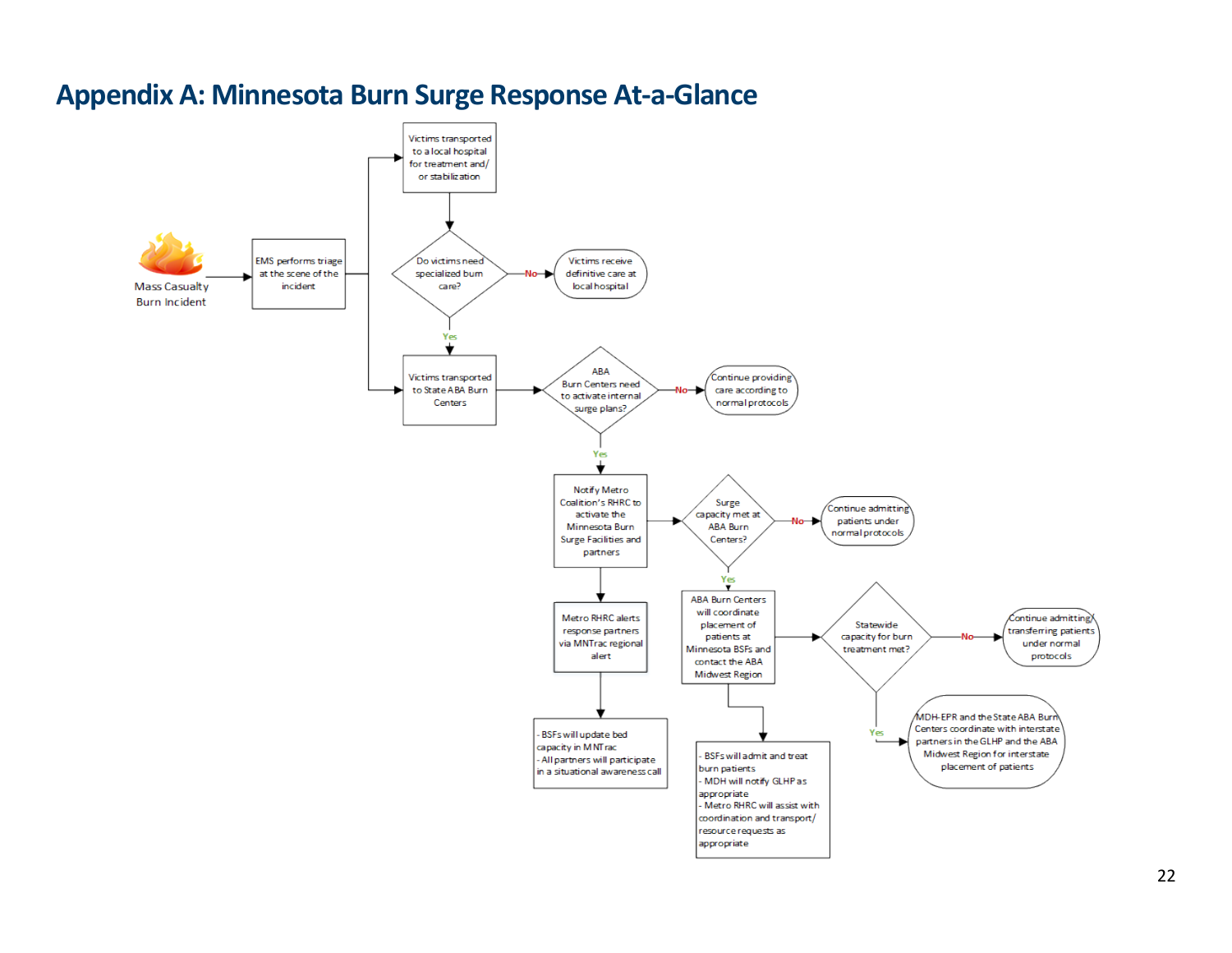<span id="page-21-0"></span>

### **Appendix A: Minnesota Burn Surge Response At-a-Glance**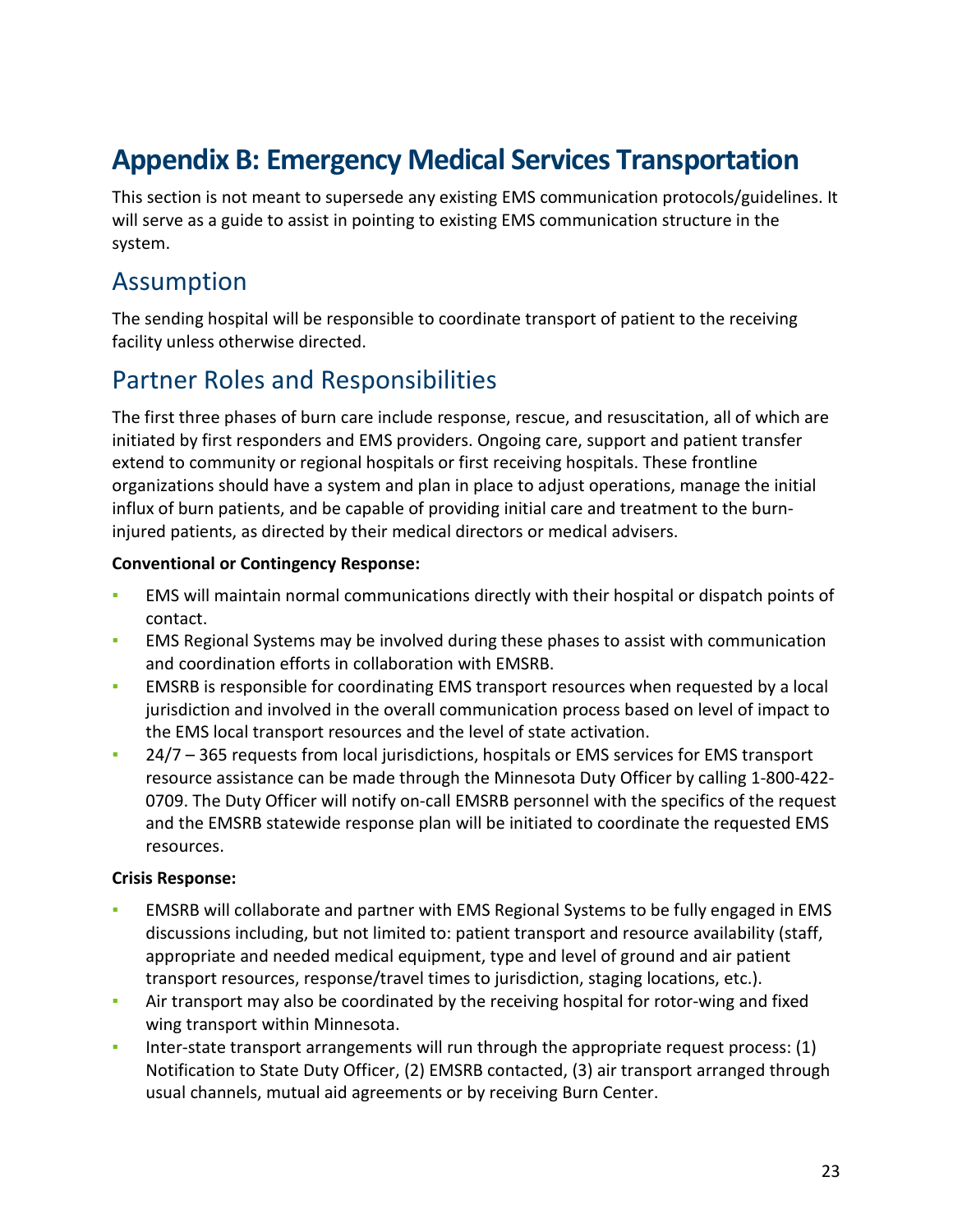## <span id="page-22-0"></span>**Appendix B: Emergency Medical Services Transportation**

This section is not meant to supersede any existing EMS communication protocols/guidelines. It will serve as a guide to assist in pointing to existing EMS communication structure in the system.

### <span id="page-22-1"></span>Assumption

The sending hospital will be responsible to coordinate transport of patient to the receiving facility unless otherwise directed.

### <span id="page-22-2"></span>Partner Roles and Responsibilities

The first three phases of burn care include response, rescue, and resuscitation, all of which are initiated by first responders and EMS providers. Ongoing care, support and patient transfer extend to community or regional hospitals or first receiving hospitals. These frontline organizations should have a system and plan in place to adjust operations, manage the initial influx of burn patients, and be capable of providing initial care and treatment to the burninjured patients, as directed by their medical directors or medical advisers.

#### **Conventional or Contingency Response:**

- **EMS** will maintain normal communications directly with their hospital or dispatch points of contact.
- EMS Regional Systems may be involved during these phases to assist with communication and coordination efforts in collaboration with EMSRB.
- **EMSRB** is responsible for coordinating EMS transport resources when requested by a local jurisdiction and involved in the overall communication process based on level of impact to the EMS local transport resources and the level of state activation.
- 24/7 365 requests from local jurisdictions, hospitals or EMS services for EMS transport resource assistance can be made through the Minnesota Duty Officer by calling 1-800-422- 0709. The Duty Officer will notify on-call EMSRB personnel with the specifics of the request and the EMSRB statewide response plan will be initiated to coordinate the requested EMS resources.

#### **Crisis Response:**

- EMSRB will collaborate and partner with EMS Regional Systems to be fully engaged in EMS discussions including, but not limited to: patient transport and resource availability (staff, appropriate and needed medical equipment, type and level of ground and air patient transport resources, response/travel times to jurisdiction, staging locations, etc.).
- Air transport may also be coordinated by the receiving hospital for rotor-wing and fixed wing transport within Minnesota.
- Inter-state transport arrangements will run through the appropriate request process: (1) Notification to State Duty Officer, (2) EMSRB contacted, (3) air transport arranged through usual channels, mutual aid agreements or by receiving Burn Center.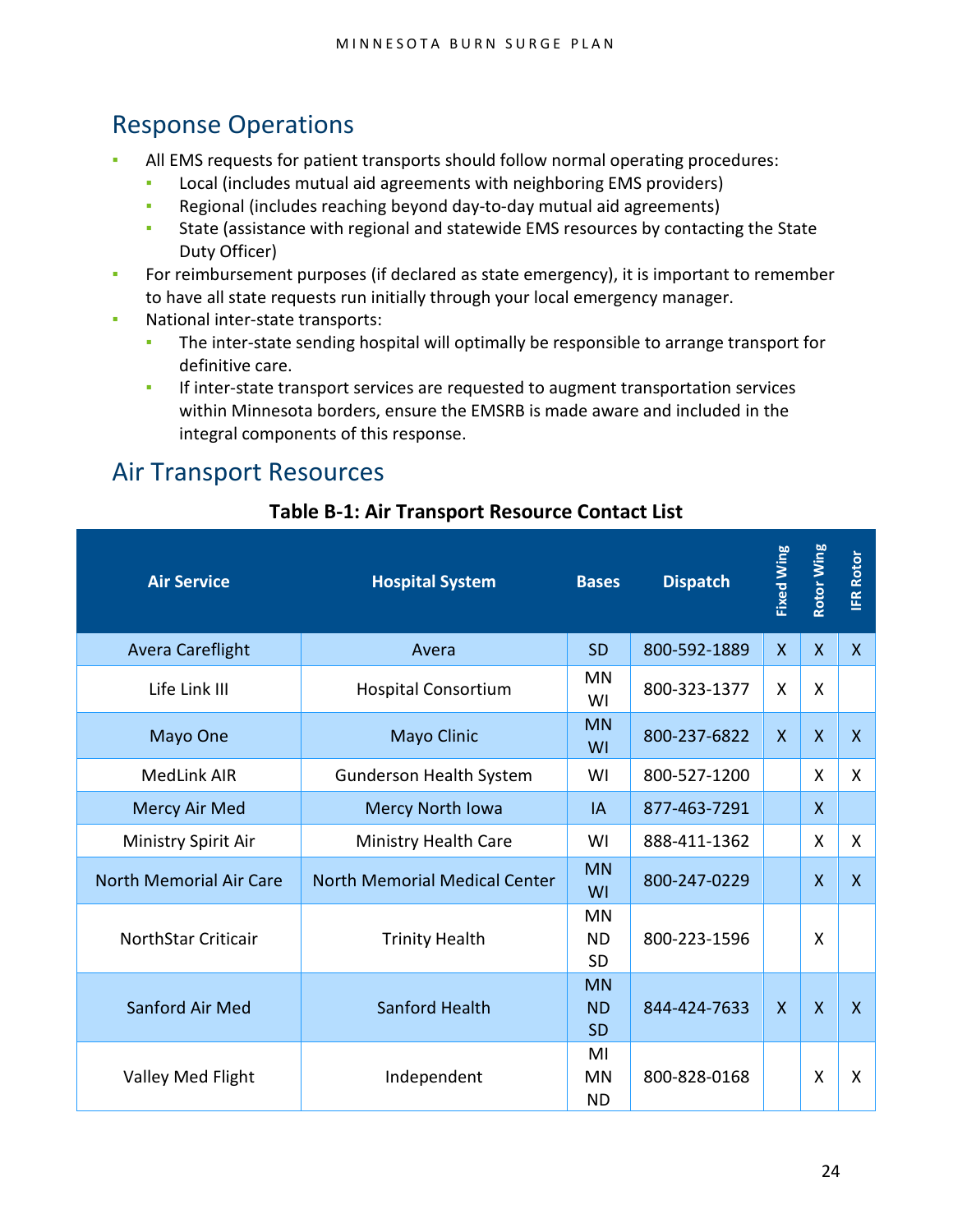### <span id="page-23-0"></span>Response Operations

- All EMS requests for patient transports should follow normal operating procedures:
	- Local (includes mutual aid agreements with neighboring EMS providers)
	- Regional (includes reaching beyond day-to-day mutual aid agreements)
	- **State (assistance with regional and statewide EMS resources by contacting the State** Duty Officer)
- **•** For reimbursement purposes (if declared as state emergency), it is important to remember to have all state requests run initially through your local emergency manager.
- National inter-state transports:
	- **•** The inter-state sending hospital will optimally be responsible to arrange transport for definitive care.
	- **•** If inter-state transport services are requested to augment transportation services within Minnesota borders, ensure the EMSRB is made aware and included in the integral components of this response.

### <span id="page-23-1"></span>Air Transport Resources

| <b>Air Service</b>             | <b>Hospital System</b>               | <b>Bases</b>                        | <b>Dispatch</b> | <b>Fixed Wing</b>       | <b>Rotor Wing</b>       | <b>IFR Rotor</b> |
|--------------------------------|--------------------------------------|-------------------------------------|-----------------|-------------------------|-------------------------|------------------|
| <b>Avera Careflight</b>        | Avera                                | <b>SD</b>                           | 800-592-1889    | $\mathsf{X}$            | $\mathsf{X}$            | $\mathsf{X}$     |
| Life Link III                  | <b>Hospital Consortium</b>           | <b>MN</b><br>WI                     | 800-323-1377    | X                       | X                       |                  |
| Mayo One                       | <b>Mayo Clinic</b>                   | <b>MN</b><br>WI                     | 800-237-6822    | $\mathsf{X}$            | $\mathsf{X}$            | $\mathsf{X}$     |
| <b>MedLink AIR</b>             | <b>Gunderson Health System</b>       | WI                                  | 800-527-1200    |                         | X                       | X.               |
| Mercy Air Med                  | Mercy North Iowa                     | IA                                  | 877-463-7291    |                         | X                       |                  |
| Ministry Spirit Air            | Ministry Health Care                 | WI                                  | 888-411-1362    |                         | X                       | X.               |
| <b>North Memorial Air Care</b> | <b>North Memorial Medical Center</b> | <b>MN</b><br>WI                     | 800-247-0229    |                         | $\overline{X}$          | $\mathsf{X}$     |
| <b>NorthStar Criticair</b>     | <b>Trinity Health</b>                | <b>MN</b><br><b>ND</b><br><b>SD</b> | 800-223-1596    |                         | X                       |                  |
| Sanford Air Med                | Sanford Health                       | <b>MN</b><br><b>ND</b><br><b>SD</b> | 844-424-7633    | $\overline{\mathsf{X}}$ | $\overline{\mathsf{x}}$ | $\overline{X}$   |
| Valley Med Flight              | Independent                          | MI<br><b>MN</b><br><b>ND</b>        | 800-828-0168    |                         | X                       | X                |

#### **Table B-1: Air Transport Resource Contact List**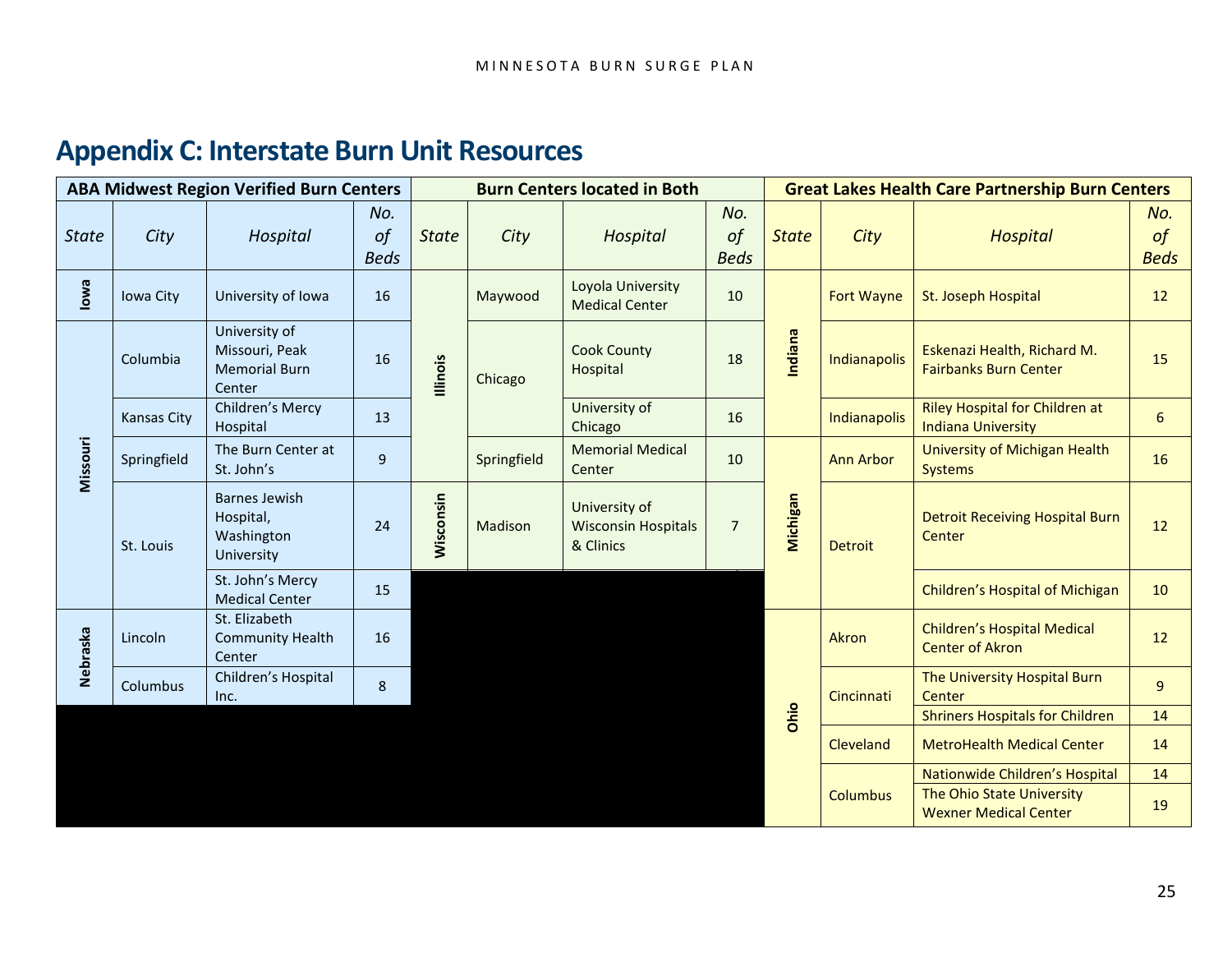## **Appendix C: Interstate Burn Unit Resources**

<span id="page-24-0"></span>

| <b>ABA Midwest Region Verified Burn Centers</b> |                    |                                                                   |                                 | <b>Burn Centers located in Both</b> |             |                                                          | <b>Great Lakes Health Care Partnership Burn Centers</b> |              |                                        |                                                              |                                 |
|-------------------------------------------------|--------------------|-------------------------------------------------------------------|---------------------------------|-------------------------------------|-------------|----------------------------------------------------------|---------------------------------------------------------|--------------|----------------------------------------|--------------------------------------------------------------|---------------------------------|
| <b>State</b>                                    | City               | Hospital                                                          | No.<br>$\circ f$<br><b>Beds</b> | <b>State</b>                        | City        | Hospital                                                 | No.<br>$\circ f$<br><b>Beds</b>                         | <b>State</b> | City                                   | <b>Hospital</b>                                              | No.<br>$\circ f$<br><b>Beds</b> |
| lowa                                            | Iowa City          | University of Iowa                                                | 16                              | lllinois                            | Maywood     | Loyola University<br><b>Medical Center</b>               | 10                                                      | Indiana      | <b>Fort Wayne</b>                      | St. Joseph Hospital                                          | 12                              |
|                                                 | Columbia           | University of<br>Missouri, Peak<br><b>Memorial Burn</b><br>Center | 16                              |                                     | Chicago     | <b>Cook County</b><br>Hospital                           | 18                                                      |              | Indianapolis                           | Eskenazi Health, Richard M.<br><b>Fairbanks Burn Center</b>  | 15                              |
| Missouri                                        | <b>Kansas City</b> | Children's Mercy<br>Hospital                                      | 13                              |                                     |             | University of<br>Chicago                                 | 16                                                      |              | Indianapolis                           | Riley Hospital for Children at<br><b>Indiana University</b>  | 6                               |
|                                                 | Springfield        | The Burn Center at<br>St. John's                                  | 9                               |                                     | Springfield | <b>Memorial Medical</b><br>Center                        | 10                                                      | Michigan     | <b>Ann Arbor</b>                       | University of Michigan Health<br><b>Systems</b>              | 16                              |
|                                                 | St. Louis          | <b>Barnes Jewish</b><br>Hospital,<br>Washington<br>University     | 24                              | Wisconsin                           | Madison     | University of<br><b>Wisconsin Hospitals</b><br>& Clinics | $\overline{7}$                                          |              | <b>Detroit</b>                         | <b>Detroit Receiving Hospital Burn</b><br>Center             | 12                              |
|                                                 |                    | St. John's Mercy<br><b>Medical Center</b>                         | 15                              |                                     |             |                                                          |                                                         |              |                                        | Children's Hospital of Michigan                              | 10                              |
| Nebraska                                        | Lincoln            | St. Elizabeth<br><b>Community Health</b><br>Center                | 16                              |                                     |             |                                                          |                                                         |              | Akron                                  | <b>Children's Hospital Medical</b><br><b>Center of Akron</b> | 12                              |
|                                                 | Columbus           | Children's Hospital<br>Inc.                                       | 8                               |                                     |             |                                                          |                                                         |              | Cincinnati                             | The University Hospital Burn<br>Center                       | $\overline{9}$                  |
|                                                 |                    |                                                                   |                                 |                                     |             |                                                          | Ohio                                                    |              | <b>Shriners Hospitals for Children</b> | 14                                                           |                                 |
|                                                 |                    |                                                                   |                                 |                                     |             |                                                          |                                                         |              | Cleveland                              | <b>MetroHealth Medical Center</b>                            | 14                              |
|                                                 |                    |                                                                   |                                 |                                     |             |                                                          |                                                         |              |                                        | Nationwide Children's Hospital                               | 14                              |
|                                                 |                    |                                                                   |                                 |                                     |             |                                                          |                                                         |              | <b>Columbus</b>                        | The Ohio State University<br><b>Wexner Medical Center</b>    | 19                              |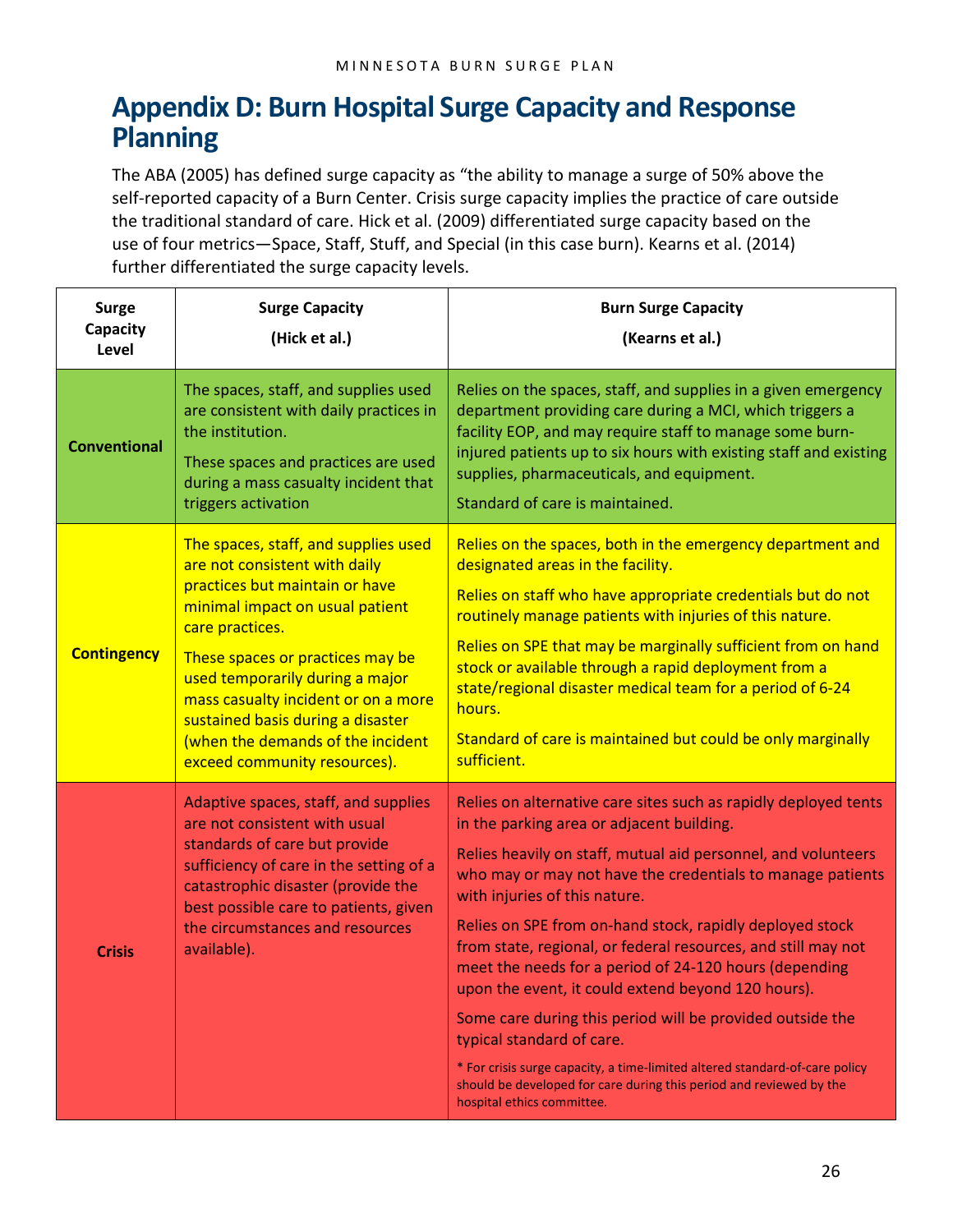## <span id="page-25-0"></span>**Appendix D: Burn Hospital Surge Capacity and Response Planning**

The ABA (2005) has defined surge capacity as "the ability to manage a surge of 50% above the self-reported capacity of a Burn Center. Crisis surge capacity implies the practice of care outside the traditional standard of care. Hick et al. (2009) differentiated surge capacity based on the use of four metrics—Space, Staff, Stuff, and Special (in this case burn). Kearns et al. (2014) further differentiated the surge capacity levels.

| <b>Surge</b><br>Capacity<br>Level | <b>Surge Capacity</b><br>(Hick et al.)                                                                                                                                                                                                                                                                                                                                                | <b>Burn Surge Capacity</b><br>(Kearns et al.)                                                                                                                                                                                                                                                                                                                                                                                                                                                                                                                                                                                                                                                                                                                                                           |
|-----------------------------------|---------------------------------------------------------------------------------------------------------------------------------------------------------------------------------------------------------------------------------------------------------------------------------------------------------------------------------------------------------------------------------------|---------------------------------------------------------------------------------------------------------------------------------------------------------------------------------------------------------------------------------------------------------------------------------------------------------------------------------------------------------------------------------------------------------------------------------------------------------------------------------------------------------------------------------------------------------------------------------------------------------------------------------------------------------------------------------------------------------------------------------------------------------------------------------------------------------|
| <b>Conventional</b>               | The spaces, staff, and supplies used<br>are consistent with daily practices in<br>the institution.<br>These spaces and practices are used<br>during a mass casualty incident that<br>triggers activation                                                                                                                                                                              | Relies on the spaces, staff, and supplies in a given emergency<br>department providing care during a MCI, which triggers a<br>facility EOP, and may require staff to manage some burn-<br>injured patients up to six hours with existing staff and existing<br>supplies, pharmaceuticals, and equipment.<br>Standard of care is maintained.                                                                                                                                                                                                                                                                                                                                                                                                                                                             |
| <b>Contingency</b>                | The spaces, staff, and supplies used<br>are not consistent with daily<br>practices but maintain or have<br>minimal impact on usual patient<br>care practices.<br>These spaces or practices may be<br>used temporarily during a major<br>mass casualty incident or on a more<br>sustained basis during a disaster<br>(when the demands of the incident<br>exceed community resources). | Relies on the spaces, both in the emergency department and<br>designated areas in the facility.<br>Relies on staff who have appropriate credentials but do not<br>routinely manage patients with injuries of this nature.<br>Relies on SPE that may be marginally sufficient from on hand<br>stock or available through a rapid deployment from a<br>state/regional disaster medical team for a period of 6-24<br>hours.<br>Standard of care is maintained but could be only marginally<br>sufficient.                                                                                                                                                                                                                                                                                                  |
| <b>Crisis</b>                     | Adaptive spaces, staff, and supplies<br>are not consistent with usual<br>standards of care but provide<br>sufficiency of care in the setting of a<br>catastrophic disaster (provide the<br>best possible care to patients, given<br>the circumstances and resources<br>available).                                                                                                    | Relies on alternative care sites such as rapidly deployed tents<br>in the parking area or adjacent building.<br>Relies heavily on staff, mutual aid personnel, and volunteers<br>who may or may not have the credentials to manage patients<br>with injuries of this nature.<br>Relies on SPE from on-hand stock, rapidly deployed stock<br>from state, regional, or federal resources, and still may not<br>meet the needs for a period of 24-120 hours (depending<br>upon the event, it could extend beyond 120 hours).<br>Some care during this period will be provided outside the<br>typical standard of care.<br>* For crisis surge capacity, a time-limited altered standard-of-care policy<br>should be developed for care during this period and reviewed by the<br>hospital ethics committee. |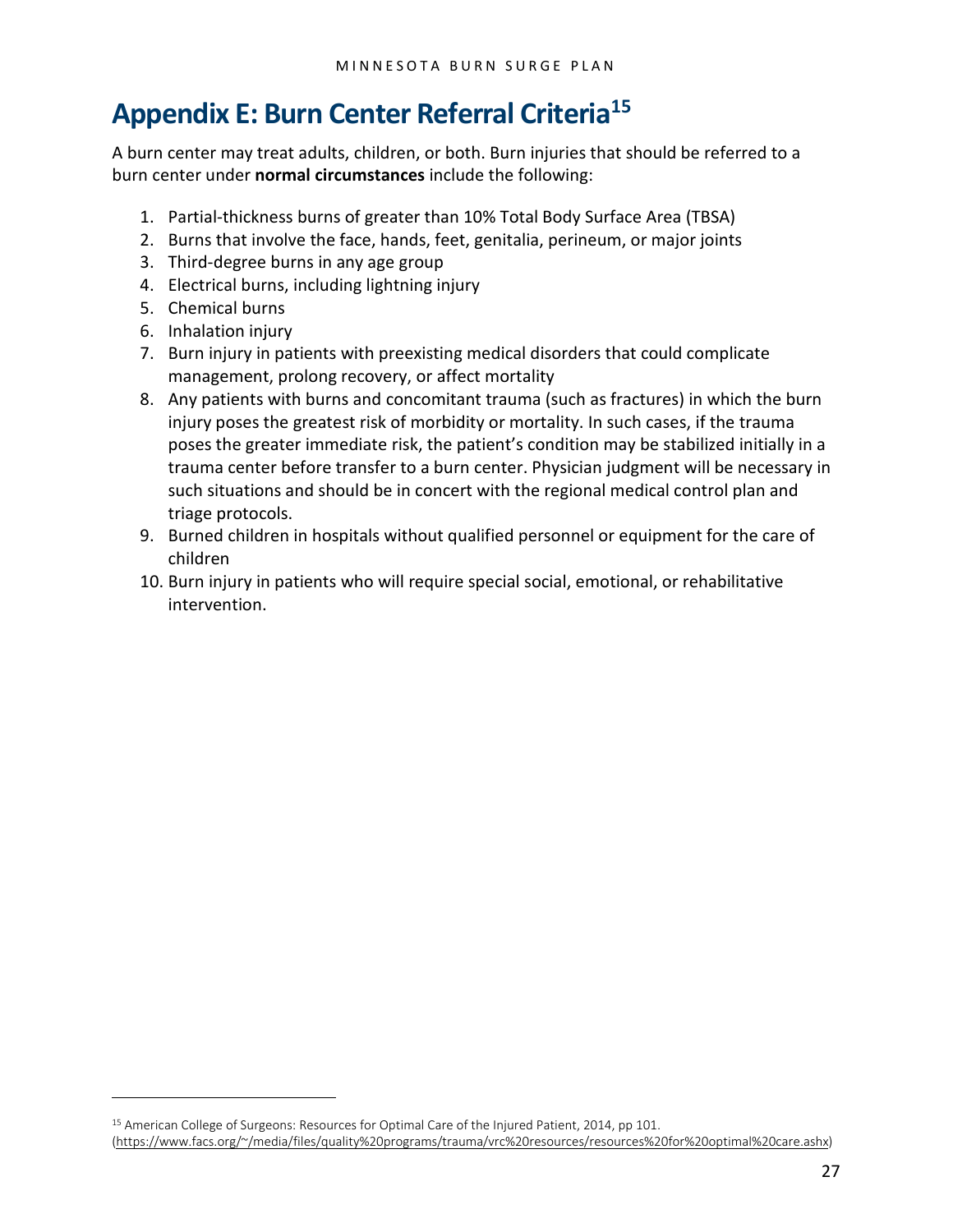## <span id="page-26-0"></span>**Appendix E: Burn Center Referral Criteria[15](#page-26-1)**

A burn center may treat adults, children, or both. Burn injuries that should be referred to a burn center under **normal circumstances** include the following:

- 1. Partial-thickness burns of greater than 10% Total Body Surface Area (TBSA)
- 2. Burns that involve the face, hands, feet, genitalia, perineum, or major joints
- 3. Third-degree burns in any age group
- 4. Electrical burns, including lightning injury
- 5. Chemical burns
- 6. Inhalation injury

 $\overline{a}$ 

- 7. Burn injury in patients with preexisting medical disorders that could complicate management, prolong recovery, or affect mortality
- 8. Any patients with burns and concomitant trauma (such as fractures) in which the burn injury poses the greatest risk of morbidity or mortality. In such cases, if the trauma poses the greater immediate risk, the patient's condition may be stabilized initially in a trauma center before transfer to a burn center. Physician judgment will be necessary in such situations and should be in concert with the regional medical control plan and triage protocols.
- 9. Burned children in hospitals without qualified personnel or equipment for the care of children
- 10. Burn injury in patients who will require special social, emotional, or rehabilitative intervention.

<span id="page-26-1"></span><sup>15</sup> American College of Surgeons: Resources for Optimal Care of the Injured Patient, 2014, pp 101. [\(https://www.facs.org/~/media/files/quality%20programs/trauma/vrc%20resources/resources%20for%20optimal%20care.ashx\)](https://www.facs.org/%7E/media/files/quality%20programs/trauma/vrc%20resources/resources%20for%20optimal%20care.ashx)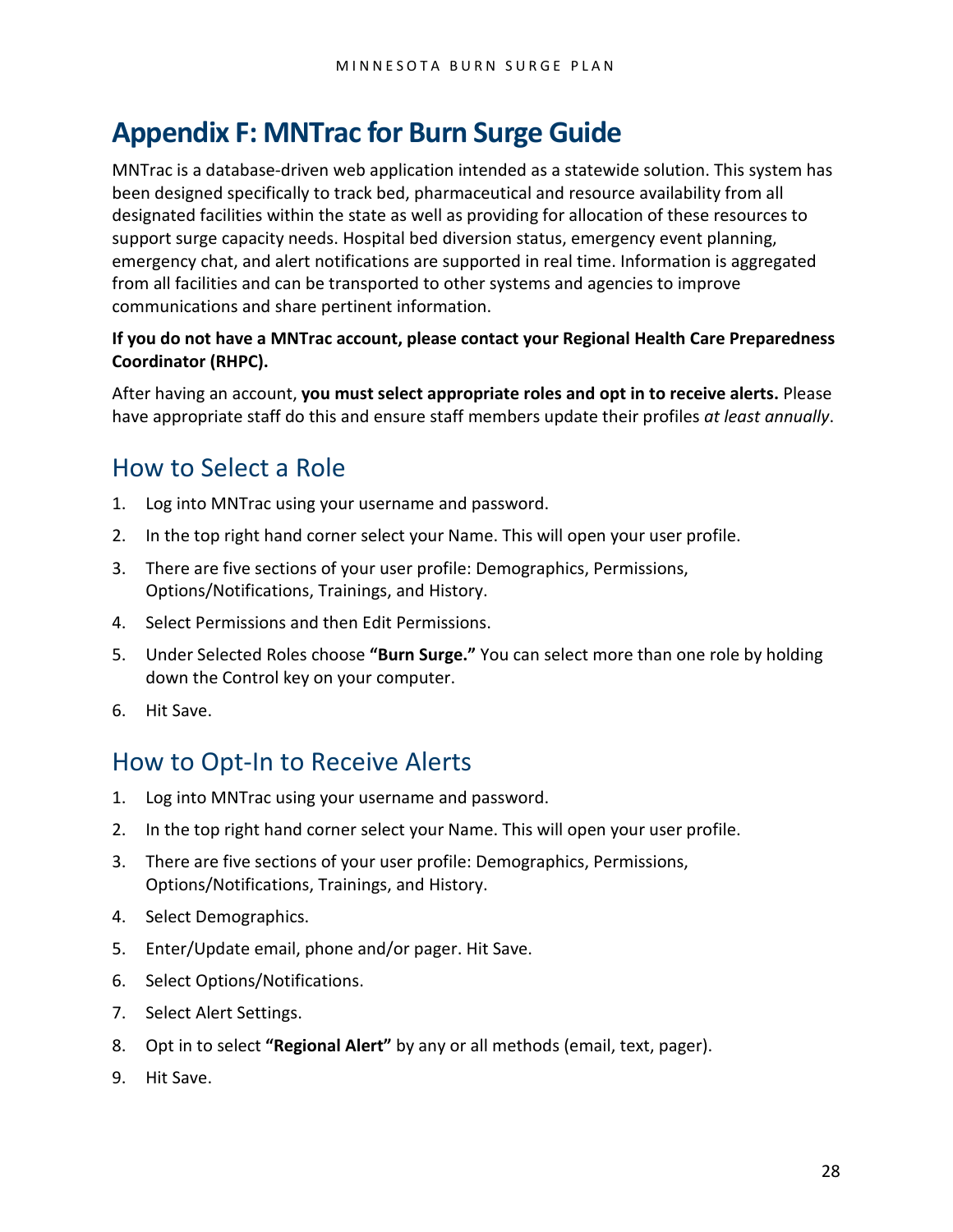## <span id="page-27-0"></span>**Appendix F: MNTrac for Burn Surge Guide**

MNTrac is a database-driven web application intended as a statewide solution. This system has been designed specifically to track bed, pharmaceutical and resource availability from all designated facilities within the state as well as providing for allocation of these resources to support surge capacity needs. Hospital bed diversion status, emergency event planning, emergency chat, and alert notifications are supported in real time. Information is aggregated from all facilities and can be transported to other systems and agencies to improve communications and share pertinent information.

#### **If you do not have a MNTrac account, please contact your Regional Health Care Preparedness Coordinator (RHPC).**

After having an account, **you must select appropriate roles and opt in to receive alerts.** Please have appropriate staff do this and ensure staff members update their profiles *at least annually*.

### <span id="page-27-1"></span>How to Select a Role

- 1. Log into MNTrac using your username and password.
- 2. In the top right hand corner select your Name. This will open your user profile.
- 3. There are five sections of your user profile: Demographics, Permissions, Options/Notifications, Trainings, and History.
- 4. Select Permissions and then Edit Permissions.
- 5. Under Selected Roles choose **"Burn Surge."** You can select more than one role by holding down the Control key on your computer.
- 6. Hit Save.

### <span id="page-27-2"></span>How to Opt-In to Receive Alerts

- 1. Log into MNTrac using your username and password.
- 2. In the top right hand corner select your Name. This will open your user profile.
- 3. There are five sections of your user profile: Demographics, Permissions, Options/Notifications, Trainings, and History.
- 4. Select Demographics.
- 5. Enter/Update email, phone and/or pager. Hit Save.
- 6. Select Options/Notifications.
- 7. Select Alert Settings.
- 8. Opt in to select **"Regional Alert"** by any or all methods (email, text, pager).
- 9. Hit Save.